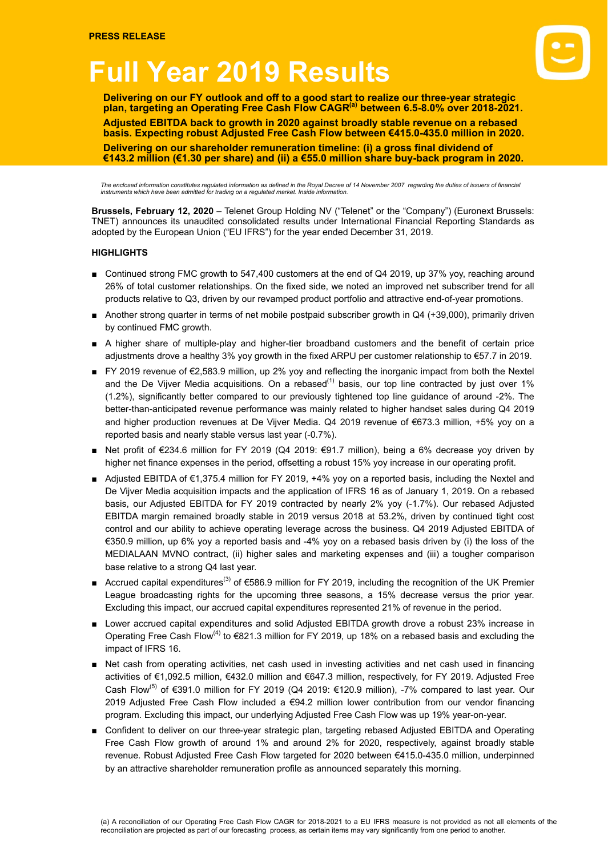# **Full Year 2019 Results**



**Delivering on our FY outlook and off to a good start to realize our three-year strategic plan, targeting an Operating Free Cash Flow CAGR(a) between 6.5-8.0% over 2018-2021. Adjusted EBITDA back to growth in 2020 against broadly stable revenue on a rebased basis. Expecting robust Adjusted Free Cash Flow between €415.0-435.0 million in 2020. Delivering on our shareholder remuneration timeline: (i) a gross final dividend of €143.2 million (€1.30 per share) and (ii) a €55.0 million share buy-back program in 2020.**

The enclosed information constitutes regulated information as defined in the Royal Decree of 14 November 2007 regarding the duties of issuers of financial<br>instruments which have been admitted for trading on a regulated mar

**Brussels, February 12, 2020** – Telenet Group Holding NV ("Telenet" or the "Company") (Euronext Brussels: TNET) announces its unaudited consolidated results under International Financial Reporting Standards as adopted by the European Union ("EU IFRS") for the year ended December 31, 2019.

#### **HIGHLIGHTS**

- Continued strong FMC growth to 547,400 customers at the end of Q4 2019, up 37% yoy, reaching around 26% of total customer relationships. On the fixed side, we noted an improved net subscriber trend for all products relative to Q3, driven by our revamped product portfolio and attractive end-of-year promotions.
- Another strong quarter in terms of net mobile postpaid subscriber growth in Q4 (+39,000), primarily driven by continued FMC growth.
- A higher share of multiple-play and higher-tier broadband customers and the benefit of certain price adjustments drove a healthy 3% yoy growth in the fixed ARPU per customer relationship to €57.7 in 2019.
- FY 2019 revenue of €2,583.9 million, up 2% yoy and reflecting the inorganic impact from both the Nextel and the De Vijver Media acquisitions. On a rebased<sup>(1)</sup> basis, our top line contracted by just over 1% (1.2%), significantly better compared to our previously tightened top line guidance of around -2%. The better-than-anticipated revenue performance was mainly related to higher handset sales during Q4 2019 and higher production revenues at De Vijver Media. Q4 2019 revenue of €673.3 million, +5% yoy on a reported basis and nearly stable versus last year (-0.7%).
- Net profit of €234.6 million for FY 2019 (Q4 2019: €91.7 million), being a 6% decrease yoy driven by higher net finance expenses in the period, offsetting a robust 15% yoy increase in our operating profit.
- Adjusted EBITDA of €1,375.4 million for FY 2019, +4% yoy on a reported basis, including the Nextel and De Vijver Media acquisition impacts and the application of IFRS 16 as of January 1, 2019. On a rebased basis, our Adjusted EBITDA for FY 2019 contracted by nearly 2% yoy (-1.7%). Our rebased Adjusted EBITDA margin remained broadly stable in 2019 versus 2018 at 53.2%, driven by continued tight cost control and our ability to achieve operating leverage across the business. Q4 2019 Adjusted EBITDA of €350.9 million, up 6% yoy a reported basis and -4% yoy on a rebased basis driven by (i) the loss of the MEDIALAAN MVNO contract, (ii) higher sales and marketing expenses and (iii) a tougher comparison base relative to a strong Q4 last year.
- Accrued capital expenditures<sup>(3)</sup> of €586.9 million for FY 2019, including the recognition of the UK Premier League broadcasting rights for the upcoming three seasons, a 15% decrease versus the prior year. Excluding this impact, our accrued capital expenditures represented 21% of revenue in the period.
- Lower accrued capital expenditures and solid Adjusted EBITDA growth drove a robust 23% increase in Operating Free Cash Flow<sup>(4)</sup> to  $€821.3$  million for FY 2019, up 18% on a rebased basis and excluding the impact of IFRS 16.
- Net cash from operating activities, net cash used in investing activities and net cash used in financing activities of €1,092.5 million, €432.0 million and €647.3 million, respectively, for FY 2019. Adjusted Free Cash Flow<sup>(5)</sup> of €391.0 million for FY 2019 (Q4 2019: €120.9 million), -7% compared to last year. Our 2019 Adjusted Free Cash Flow included a €94.2 million lower contribution from our vendor financing program. Excluding this impact, our underlying Adjusted Free Cash Flow was up 19% year-on-year.
- Confident to deliver on our three-year strategic plan, targeting rebased Adjusted EBITDA and Operating Free Cash Flow growth of around 1% and around 2% for 2020, respectively, against broadly stable revenue. Robust Adjusted Free Cash Flow targeted for 2020 between €415.0-435.0 million, underpinned by an attractive shareholder remuneration profile as announced separately this morning.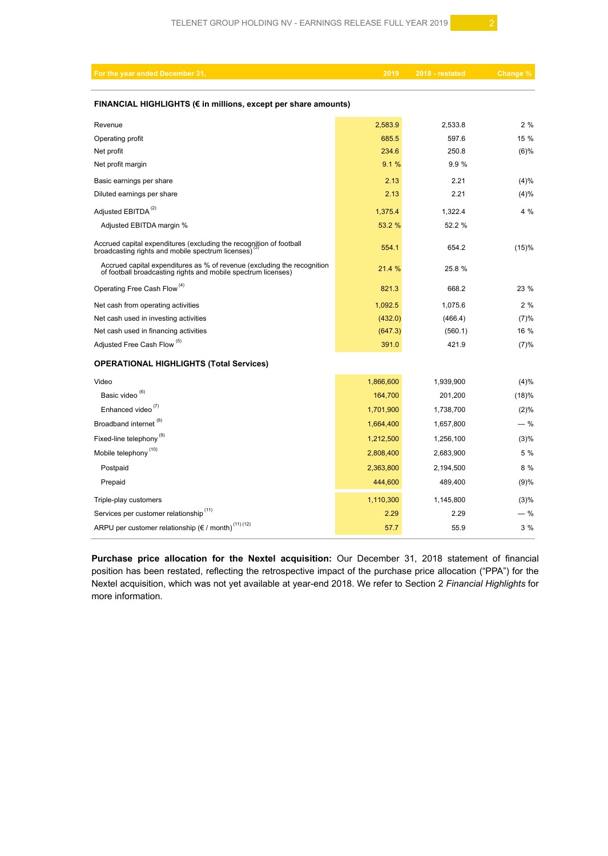| For the year ended December 31,                                                                                                          | 2019      | 2018 - restated | Change % |  |  |  |  |  |
|------------------------------------------------------------------------------------------------------------------------------------------|-----------|-----------------|----------|--|--|--|--|--|
| FINANCIAL HIGHLIGHTS (€ in millions, except per share amounts)                                                                           |           |                 |          |  |  |  |  |  |
| Revenue                                                                                                                                  | 2,583.9   | 2,533.8         | 2%       |  |  |  |  |  |
| Operating profit                                                                                                                         | 685.5     | 597.6           | 15 %     |  |  |  |  |  |
| Net profit                                                                                                                               | 234.6     | 250.8           | (6)%     |  |  |  |  |  |
| Net profit margin                                                                                                                        | 9.1%      | 9.9%            |          |  |  |  |  |  |
| Basic earnings per share                                                                                                                 | 2.13      | 2.21            | (4)%     |  |  |  |  |  |
| Diluted earnings per share                                                                                                               | 2.13      | 2.21            | (4)%     |  |  |  |  |  |
| Adjusted EBITDA <sup>(2)</sup>                                                                                                           | 1,375.4   | 1,322.4         | 4%       |  |  |  |  |  |
| Adjusted EBITDA margin %                                                                                                                 | 53.2 %    | 52.2 %          |          |  |  |  |  |  |
| Accrued capital expenditures (excluding the recognition of football<br>broadcasting rights and mobile spectrum licenses)                 | 554.1     | 654.2           | (15)%    |  |  |  |  |  |
| Accrued capital expenditures as % of revenue (excluding the recognition<br>of football broadcasting rights and mobile spectrum licenses) | 21.4 %    | 25.8 %          |          |  |  |  |  |  |
| Operating Free Cash Flow <sup>(4)</sup>                                                                                                  | 821.3     | 668.2           | 23 %     |  |  |  |  |  |
| Net cash from operating activities                                                                                                       | 1,092.5   | 1,075.6         | 2%       |  |  |  |  |  |
| Net cash used in investing activities                                                                                                    | (432.0)   | (466.4)         | (7)%     |  |  |  |  |  |
| Net cash used in financing activities                                                                                                    | (647.3)   | (560.1)         | 16 %     |  |  |  |  |  |
| Adjusted Free Cash Flow <sup>(5)</sup>                                                                                                   | 391.0     | 421.9           | (7)%     |  |  |  |  |  |
| <b>OPERATIONAL HIGHLIGHTS (Total Services)</b>                                                                                           |           |                 |          |  |  |  |  |  |
| Video                                                                                                                                    | 1,866,600 | 1,939,900       | (4)%     |  |  |  |  |  |
| Basic video <sup>(6)</sup>                                                                                                               | 164,700   | 201,200         | (18)%    |  |  |  |  |  |
| Enhanced video <sup>(7)</sup>                                                                                                            | 1,701,900 | 1,738,700       | (2)%     |  |  |  |  |  |
| Broadband internet <sup>(8)</sup>                                                                                                        | 1,664,400 | 1,657,800       | $-$ %    |  |  |  |  |  |
| Fixed-line telephony <sup>(9)</sup>                                                                                                      | 1,212,500 | 1,256,100       | (3)%     |  |  |  |  |  |
| Mobile telephony <sup>(10)</sup>                                                                                                         | 2,808,400 | 2,683,900       | 5 %      |  |  |  |  |  |
| Postpaid                                                                                                                                 | 2,363,800 | 2,194,500       | 8%       |  |  |  |  |  |
| Prepaid                                                                                                                                  | 444,600   | 489,400         | (9)%     |  |  |  |  |  |
| Triple-play customers                                                                                                                    | 1,110,300 | 1,145,800       | (3)%     |  |  |  |  |  |
| Services per customer relationship <sup>(11)</sup>                                                                                       | 2.29      | 2.29            | $-$ %    |  |  |  |  |  |
| ARPU per customer relationship ( $\varepsilon$ / month) <sup>(11)(12)</sup>                                                              | 57.7      | 55.9            | 3%       |  |  |  |  |  |

**Purchase price allocation for the Nextel acquisition:** Our December 31, 2018 statement of financial position has been restated, reflecting the retrospective impact of the purchase price allocation ("PPA") for the Nextel acquisition, which was not yet available at year-end 2018. We refer to Section 2 *Financial Highlights* for more information.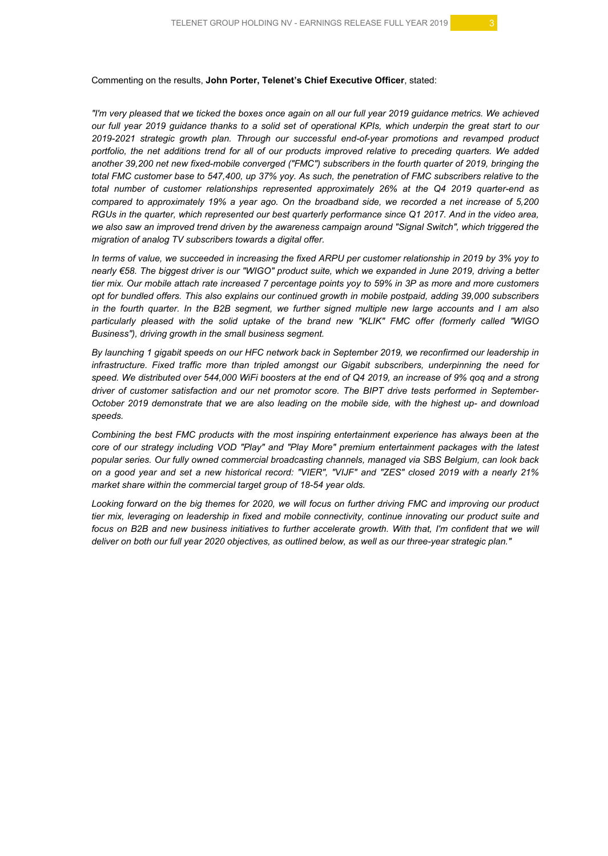#### Commenting on the results, **John Porter, Telenet's Chief Executive Officer**, stated:

"I'm very pleased that we ticked the boxes once again on all our full year 2019 quidance metrics. We achieved our full year 2019 guidance thanks to a solid set of operational KPIs, which underpin the great start to our *2019-2021 strategic growth plan. Through our successful end-of-year promotions and revamped product* portfolio, the net additions trend for all of our products improved relative to preceding quarters. We added *another 39,200 net new fixed-mobile converged ("FMC") subscribers in the fourth quarter of 2019, bringing the* total FMC customer base to 547,400, up 37% yoy. As such, the penetration of FMC subscribers relative to the *total number of customer relationships represented approximately 26% at the Q4 2019 quarter-end as* compared to approximately 19% a year ago. On the broadband side, we recorded a net increase of 5,200 RGUs in the quarter, which represented our best quarterly performance since Q1 2017. And in the video area, we also saw an improved trend driven by the awareness campaign around "Signal Switch", which triggered the *migration of analog TV subscribers towards a digital offer.*

In terms of value, we succeeded in increasing the fixed ARPU per customer relationship in 2019 by 3% yoy to nearly €58. The biggest driver is our "WIGO" product suite, which we expanded in June 2019, driving a better tier mix. Our mobile attach rate increased 7 percentage points yoy to 59% in 3P as more and more customers *opt for bundled offers. This also explains our continued growth in mobile postpaid, adding 39,000 subscribers* in the fourth quarter. In the B2B segment, we further signed multiple new large accounts and I am also *particularly pleased with the solid uptake of the brand new "KLIK" FMC offer (formerly called "WIGO Business"), driving growth in the small business segment.*

By launching 1 gigabit speeds on our HFC network back in September 2019, we reconfirmed our leadership in *infrastructure. Fixed traffic more than tripled amongst our Gigabit subscribers, underpinning the need for* speed. We distributed over 544,000 WiFi boosters at the end of Q4 2019, an increase of 9% gog and a strong *driver of customer satisfaction and our net promotor score. The BIPT drive tests performed in September-*October 2019 demonstrate that we are also leading on the mobile side, with the highest up- and download *speeds.*

*Combining the best FMC products with the most inspiring entertainment experience has always been at the core of our strategy including VOD "Play" and "Play More" premium entertainment packages with the latest popular series. Our fully owned commercial broadcasting channels, managed via SBS Belgium, can look back* on a good year and set a new historical record: "VIER", "VIJF" and "ZES" closed 2019 with a nearly 21% *market share within the commercial target group of 18-54 year olds.*

Looking forward on the big themes for 2020, we will focus on further driving FMC and improving our product *tier mix, leveraging on leadership in fixed and mobile connectivity, continue innovating our product suite and* focus on B2B and new business initiatives to further accelerate growth. With that, I'm confident that we will deliver on both our full year 2020 objectives, as outlined below, as well as our three-year strategic plan."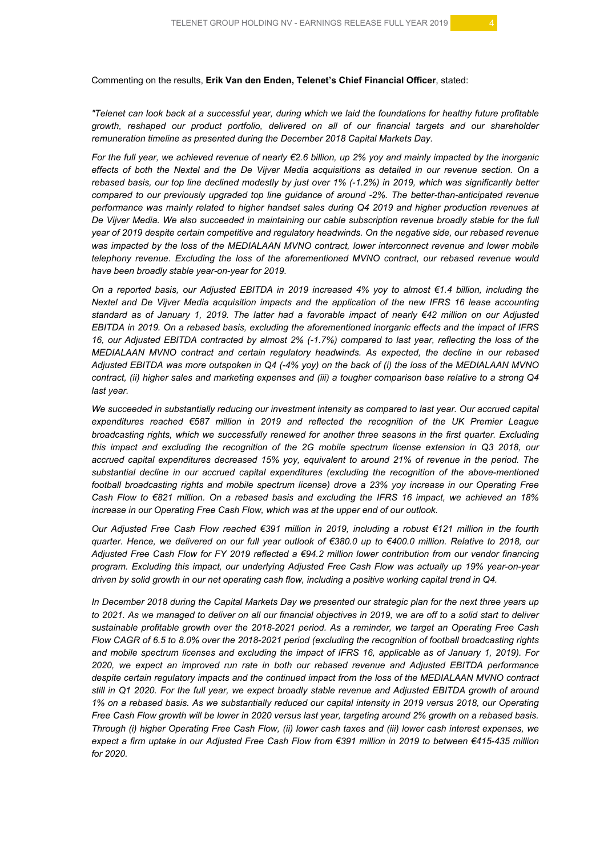Commenting on the results, **Erik Van den Enden, Telenet's Chief Financial Officer**, stated:

"Telenet can look back at a successful year, during which we laid the foundations for healthy future profitable *growth, reshaped our product portfolio, delivered on all of our financial targets and our shareholder remuneration timeline as presented during the December 2018 Capital Markets Day.*

For the full year, we achieved revenue of nearly  $€2.6$  billion, up 2% yoy and mainly impacted by the inorganic effects of both the Nextel and the De Vijver Media acquisitions as detailed in our revenue section. On a rebased basis, our top line declined modestly by just over 1% (-1.2%) in 2019, which was significantly better *compared to our previously upgraded top line guidance of around -2%. The better-than-anticipated revenue performance was mainly related to higher handset sales during Q4 2019 and higher production revenues at* De Vijver Media. We also succeeded in maintaining our cable subscription revenue broadly stable for the full *year of 2019 despite certain competitive and regulatory headwinds. On the negative side, our rebased revenue was impacted by the loss of the MEDIALAAN MVNO contract, lower interconnect revenue and lower mobile telephony revenue. Excluding the loss of the aforementioned MVNO contract, our rebased revenue would have been broadly stable year-on-year for 2019.*

On a reported basis, our Adjusted EBITDA in 2019 increased 4% yoy to almost  $\epsilon$ 1.4 billion, including the *Nextel and De Vijver Media acquisition impacts and the application of the new IFRS 16 lease accounting* standard as of January 1, 2019. The latter had a favorable impact of nearly €42 million on our Adjusted *EBITDA in 2019. On a rebased basis, excluding the aforementioned inorganic effects and the impact of IFRS* 16, our Adjusted EBITDA contracted by almost 2% (-1.7%) compared to last year, reflecting the loss of the *MEDIALAAN MVNO contract and certain regulatory headwinds. As expected, the decline in our rebased* Adjusted EBITDA was more outspoken in Q4 (-4% yoy) on the back of (i) the loss of the MEDIALAAN MVNO contract, (ii) higher sales and marketing expenses and (iii) a tougher comparison base relative to a strong Q4 *last year.*

*We succeeded in substantially reducing our investment intensity as compared to last year. Our accrued capital expenditures reached €587 million in 2019 and reflected the recognition of the UK Premier League broadcasting rights, which we successfully renewed for another three seasons in the first quarter. Excluding this impact and excluding the recognition of the 2G mobile spectrum license extension in Q3 2018, our accrued capital expenditures decreased 15% yoy, equivalent to around 21% of revenue in the period. The substantial decline in our accrued capital expenditures (excluding the recognition of the above-mentioned football broadcasting rights and mobile spectrum license) drove a 23% yoy increase in our Operating Free* Cash Flow to €821 million. On a rebased basis and excluding the IFRS 16 impact, we achieved an 18% *increase in our Operating Free Cash Flow, which was at the upper end of our outlook.*

Our Adjusted Free Cash Flow reached €391 million in 2019, including a robust €121 million in the fourth quarter. Hence, we delivered on our full year outlook of €380.0 up to €400.0 million. Relative to 2018, our Adjusted Free Cash Flow for FY 2019 reflected a €94.2 million lower contribution from our vendor financing *program. Excluding this impact, our underlying Adjusted Free Cash Flow was actually up 19% year-on-year* driven by solid growth in our net operating cash flow, including a positive working capital trend in Q4.

In December 2018 during the Capital Markets Day we presented our strategic plan for the next three years up to 2021. As we managed to deliver on all our financial objectives in 2019, we are off to a solid start to deliver *sustainable profitable growth over the 2018-2021 period. As a reminder, we target an Operating Free Cash* Flow CAGR of 6.5 to 8.0% over the 2018-2021 period (excluding the recognition of football broadcasting rights and mobile spectrum licenses and excluding the impact of IFRS 16, applicable as of January 1, 2019). For *2020, we expect an improved run rate in both our rebased revenue and Adjusted EBITDA performance despite certain regulatory impacts and the continued impact from the loss of the MEDIALAAN MVNO contract* still in Q1 2020. For the full year, we expect broadly stable revenue and Adjusted EBITDA growth of around 1% on a rebased basis. As we substantially reduced our capital intensity in 2019 versus 2018, our Operating Free Cash Flow growth will be lower in 2020 versus last year, targeting around 2% growth on a rebased basis. Through (i) higher Operating Free Cash Flow, (ii) lower cash taxes and (iii) lower cash interest expenses, we expect a firm uptake in our Adjusted Free Cash Flow from €391 million in 2019 to between €415-435 million *for 2020.*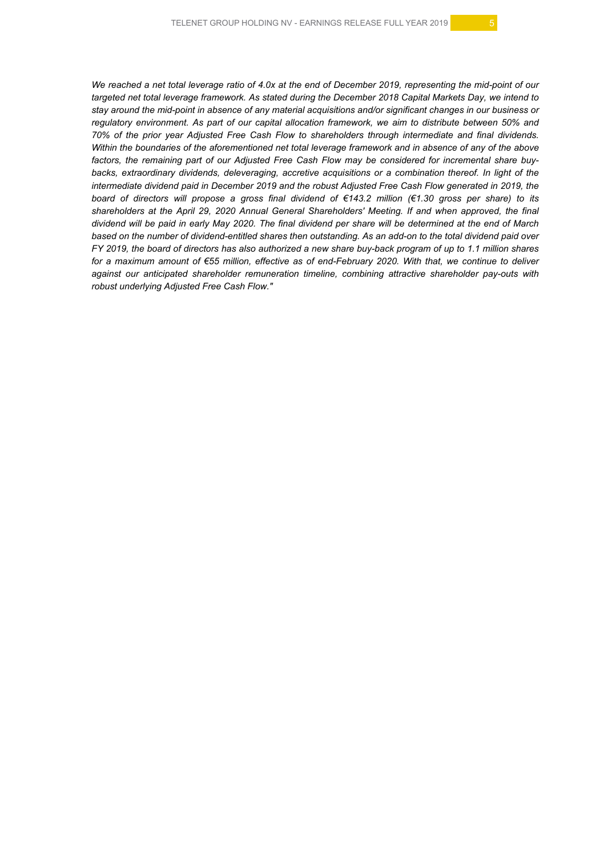We reached a net total leverage ratio of 4.0x at the end of December 2019, representing the mid-point of our targeted net total leverage framework. As stated during the December 2018 Capital Markets Day, we intend to stay around the mid-point in absence of any material acquisitions and/or significant changes in our business or *regulatory environment. As part of our capital allocation framework, we aim to distribute between 50% and 70% of the prior year Adjusted Free Cash Flow to shareholders through intermediate and final dividends.* Within the boundaries of the aforementioned net total leverage framework and in absence of any of the above *factors, the remaining part of our Adjusted Free Cash Flow may be considered for incremental share buybacks, extraordinary dividends, deleveraging, accretive acquisitions or a combination thereof. In light of the intermediate dividend paid in December 2019 and the robust Adjusted Free Cash Flow generated in 2019, the* board of directors will propose a gross final dividend of  $\epsilon$ 143.2 million ( $\epsilon$ 1.30 gross per share) to its *shareholders at the April 29, 2020 Annual General Shareholders' Meeting. If and when approved, the final* dividend will be paid in early May 2020. The final dividend per share will be determined at the end of March based on the number of dividend-entitled shares then outstanding. As an add-on to the total dividend paid over FY 2019, the board of directors has also authorized a new share buy-back program of up to 1.1 million shares for a maximum amount of €55 million, effective as of end-February 2020. With that, we continue to deliver *against our anticipated shareholder remuneration timeline, combining attractive shareholder pay-outs with robust underlying Adjusted Free Cash Flow."*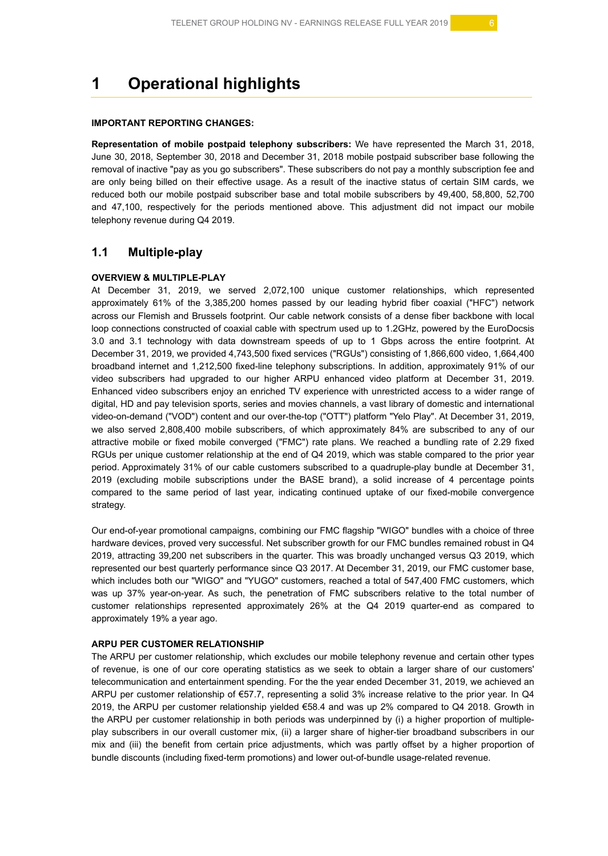# **1 Operational highlights**

#### **IMPORTANT REPORTING CHANGES:**

**Representation of mobile postpaid telephony subscribers:** We have represented the March 31, 2018, June 30, 2018, September 30, 2018 and December 31, 2018 mobile postpaid subscriber base following the removal of inactive "pay as you go subscribers". These subscribers do not pay a monthly subscription fee and are only being billed on their effective usage. As a result of the inactive status of certain SIM cards, we reduced both our mobile postpaid subscriber base and total mobile subscribers by 49,400, 58,800, 52,700 and 47,100, respectively for the periods mentioned above. This adjustment did not impact our mobile telephony revenue during Q4 2019.

### **1.1 Multiple-play**

#### **OVERVIEW & MULTIPLE-PLAY**

At December 31, 2019, we served 2,072,100 unique customer relationships, which represented approximately 61% of the 3,385,200 homes passed by our leading hybrid fiber coaxial ("HFC") network across our Flemish and Brussels footprint. Our cable network consists of a dense fiber backbone with local loop connections constructed of coaxial cable with spectrum used up to 1.2GHz, powered by the EuroDocsis 3.0 and 3.1 technology with data downstream speeds of up to 1 Gbps across the entire footprint. At December 31, 2019, we provided 4,743,500 fixed services ("RGUs") consisting of 1,866,600 video, 1,664,400 broadband internet and 1,212,500 fixed-line telephony subscriptions. In addition, approximately 91% of our video subscribers had upgraded to our higher ARPU enhanced video platform at December 31, 2019. Enhanced video subscribers enjoy an enriched TV experience with unrestricted access to a wider range of digital, HD and pay television sports, series and movies channels, a vast library of domestic and international video-on-demand ("VOD") content and our over-the-top ("OTT") platform "Yelo Play". At December 31, 2019, we also served 2,808,400 mobile subscribers, of which approximately 84% are subscribed to any of our attractive mobile or fixed mobile converged ("FMC") rate plans. We reached a bundling rate of 2.29 fixed RGUs per unique customer relationship at the end of Q4 2019, which was stable compared to the prior year period. Approximately 31% of our cable customers subscribed to a quadruple-play bundle at December 31, 2019 (excluding mobile subscriptions under the BASE brand), a solid increase of 4 percentage points compared to the same period of last year, indicating continued uptake of our fixed-mobile convergence strategy.

Our end-of-year promotional campaigns, combining our FMC flagship "WIGO" bundles with a choice of three hardware devices, proved very successful. Net subscriber growth for our FMC bundles remained robust in Q4 2019, attracting 39,200 net subscribers in the quarter. This was broadly unchanged versus Q3 2019, which represented our best quarterly performance since Q3 2017. At December 31, 2019, our FMC customer base, which includes both our "WIGO" and "YUGO" customers, reached a total of 547,400 FMC customers, which was up 37% year-on-year. As such, the penetration of FMC subscribers relative to the total number of customer relationships represented approximately 26% at the Q4 2019 quarter-end as compared to approximately 19% a year ago.

#### **ARPU PER CUSTOMER RELATIONSHIP**

The ARPU per customer relationship, which excludes our mobile telephony revenue and certain other types of revenue, is one of our core operating statistics as we seek to obtain a larger share of our customers' telecommunication and entertainment spending. For the the year ended December 31, 2019, we achieved an ARPU per customer relationship of €57.7, representing a solid 3% increase relative to the prior year. In Q4 2019, the ARPU per customer relationship yielded €58.4 and was up 2% compared to Q4 2018. Growth in the ARPU per customer relationship in both periods was underpinned by (i) a higher proportion of multipleplay subscribers in our overall customer mix, (ii) a larger share of higher-tier broadband subscribers in our mix and (iii) the benefit from certain price adjustments, which was partly offset by a higher proportion of bundle discounts (including fixed-term promotions) and lower out-of-bundle usage-related revenue.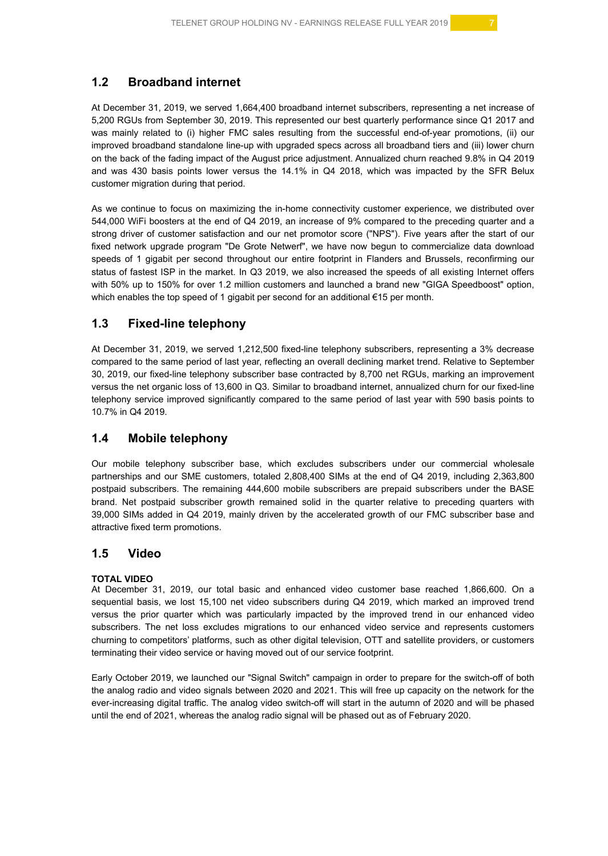# **1.2 Broadband internet**

At December 31, 2019, we served 1,664,400 broadband internet subscribers, representing a net increase of 5,200 RGUs from September 30, 2019. This represented our best quarterly performance since Q1 2017 and was mainly related to (i) higher FMC sales resulting from the successful end-of-year promotions, (ii) our improved broadband standalone line-up with upgraded specs across all broadband tiers and (iii) lower churn on the back of the fading impact of the August price adjustment. Annualized churn reached 9.8% in Q4 2019 and was 430 basis points lower versus the 14.1% in Q4 2018, which was impacted by the SFR Belux customer migration during that period.

As we continue to focus on maximizing the in-home connectivity customer experience, we distributed over 544,000 WiFi boosters at the end of Q4 2019, an increase of 9% compared to the preceding quarter and a strong driver of customer satisfaction and our net promotor score ("NPS"). Five years after the start of our fixed network upgrade program "De Grote Netwerf", we have now begun to commercialize data download speeds of 1 gigabit per second throughout our entire footprint in Flanders and Brussels, reconfirming our status of fastest ISP in the market. In Q3 2019, we also increased the speeds of all existing Internet offers with 50% up to 150% for over 1.2 million customers and launched a brand new "GIGA Speedboost" option, which enables the top speed of 1 gigabit per second for an additional €15 per month.

# **1.3 Fixed-line telephony**

At December 31, 2019, we served 1,212,500 fixed-line telephony subscribers, representing a 3% decrease compared to the same period of last year, reflecting an overall declining market trend. Relative to September 30, 2019, our fixed-line telephony subscriber base contracted by 8,700 net RGUs, marking an improvement versus the net organic loss of 13,600 in Q3. Similar to broadband internet, annualized churn for our fixed-line telephony service improved significantly compared to the same period of last year with 590 basis points to 10.7% in Q4 2019.

# **1.4 Mobile telephony**

Our mobile telephony subscriber base, which excludes subscribers under our commercial wholesale partnerships and our SME customers, totaled 2,808,400 SIMs at the end of Q4 2019, including 2,363,800 postpaid subscribers. The remaining 444,600 mobile subscribers are prepaid subscribers under the BASE brand. Net postpaid subscriber growth remained solid in the quarter relative to preceding quarters with 39,000 SIMs added in Q4 2019, mainly driven by the accelerated growth of our FMC subscriber base and attractive fixed term promotions.

### **1.5 Video**

#### **TOTAL VIDEO**

At December 31, 2019, our total basic and enhanced video customer base reached 1,866,600. On a sequential basis, we lost 15,100 net video subscribers during Q4 2019, which marked an improved trend versus the prior quarter which was particularly impacted by the improved trend in our enhanced video subscribers. The net loss excludes migrations to our enhanced video service and represents customers churning to competitors' platforms, such as other digital television, OTT and satellite providers, or customers terminating their video service or having moved out of our service footprint.

Early October 2019, we launched our "Signal Switch" campaign in order to prepare for the switch-off of both the analog radio and video signals between 2020 and 2021. This will free up capacity on the network for the ever-increasing digital traffic. The analog video switch-off will start in the autumn of 2020 and will be phased until the end of 2021, whereas the analog radio signal will be phased out as of February 2020.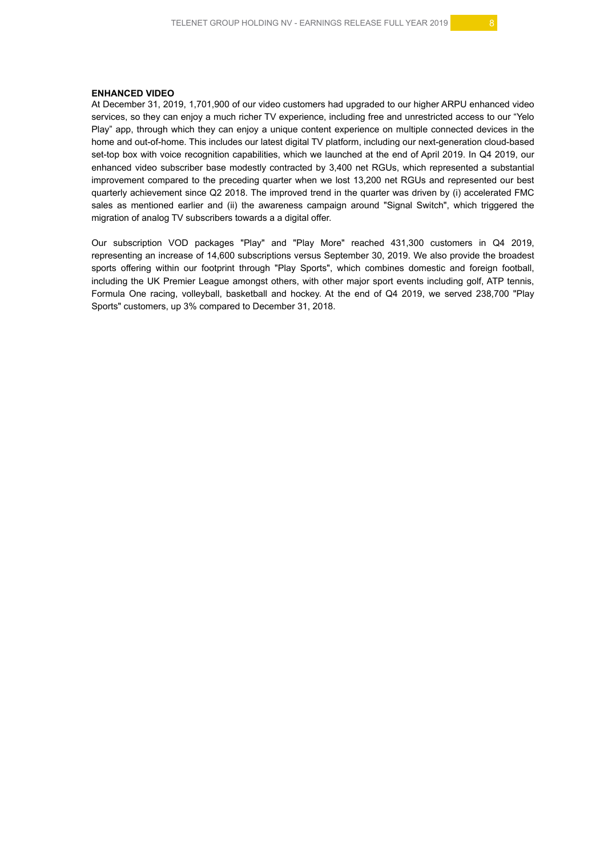#### **ENHANCED VIDEO**

At December 31, 2019, 1,701,900 of our video customers had upgraded to our higher ARPU enhanced video services, so they can enjoy a much richer TV experience, including free and unrestricted access to our "Yelo Play" app, through which they can enjoy a unique content experience on multiple connected devices in the home and out-of-home. This includes our latest digital TV platform, including our next-generation cloud-based set-top box with voice recognition capabilities, which we launched at the end of April 2019. In Q4 2019, our enhanced video subscriber base modestly contracted by 3,400 net RGUs, which represented a substantial improvement compared to the preceding quarter when we lost 13,200 net RGUs and represented our best quarterly achievement since Q2 2018. The improved trend in the quarter was driven by (i) accelerated FMC sales as mentioned earlier and (ii) the awareness campaign around "Signal Switch", which triggered the migration of analog TV subscribers towards a a digital offer.

Our subscription VOD packages "Play" and "Play More" reached 431,300 customers in Q4 2019, representing an increase of 14,600 subscriptions versus September 30, 2019. We also provide the broadest sports offering within our footprint through "Play Sports", which combines domestic and foreign football, including the UK Premier League amongst others, with other major sport events including golf, ATP tennis, Formula One racing, volleyball, basketball and hockey. At the end of Q4 2019, we served 238,700 "Play Sports" customers, up 3% compared to December 31, 2018.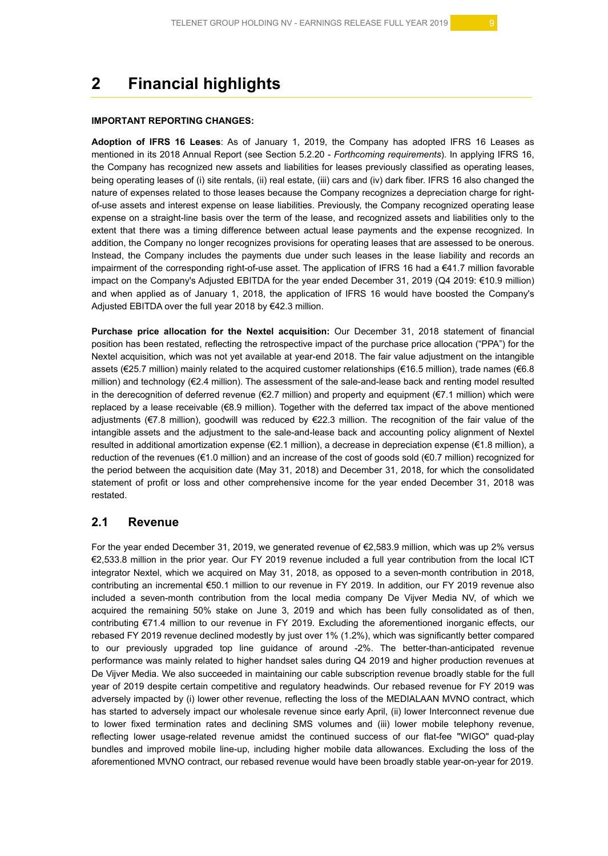# **2 Financial highlights**

#### **IMPORTANT REPORTING CHANGES:**

**Adoption of IFRS 16 Leases**: As of January 1, 2019, the Company has adopted IFRS 16 Leases as mentioned in its 2018 Annual Report (see Section 5.2.20 - *Forthcoming requirements*). In applying IFRS 16, the Company has recognized new assets and liabilities for leases previously classified as operating leases, being operating leases of (i) site rentals, (ii) real estate, (iii) cars and (iv) dark fiber. IFRS 16 also changed the nature of expenses related to those leases because the Company recognizes a depreciation charge for rightof-use assets and interest expense on lease liabilities. Previously, the Company recognized operating lease expense on a straight-line basis over the term of the lease, and recognized assets and liabilities only to the extent that there was a timing difference between actual lease payments and the expense recognized. In addition, the Company no longer recognizes provisions for operating leases that are assessed to be onerous. Instead, the Company includes the payments due under such leases in the lease liability and records an impairment of the corresponding right-of-use asset. The application of IFRS 16 had a €41.7 million favorable impact on the Company's Adjusted EBITDA for the year ended December 31, 2019 (Q4 2019: €10.9 million) and when applied as of January 1, 2018, the application of IFRS 16 would have boosted the Company's Adjusted EBITDA over the full year 2018 by €42.3 million.

**Purchase price allocation for the Nextel acquisition:** Our December 31, 2018 statement of financial position has been restated, reflecting the retrospective impact of the purchase price allocation ("PPA") for the Nextel acquisition, which was not yet available at year-end 2018. The fair value adjustment on the intangible assets (€25.7 million) mainly related to the acquired customer relationships (€16.5 million), trade names (€6.8 million) and technology (€2.4 million). The assessment of the sale-and-lease back and renting model resulted in the derecognition of deferred revenue (€2.7 million) and property and equipment (€7.1 million) which were replaced by a lease receivable (€8.9 million). Together with the deferred tax impact of the above mentioned adjustments (€7.8 million), goodwill was reduced by €22.3 million. The recognition of the fair value of the intangible assets and the adjustment to the sale-and-lease back and accounting policy alignment of Nextel resulted in additional amortization expense (€2.1 million), a decrease in depreciation expense (€1.8 million), a reduction of the revenues (€1.0 million) and an increase of the cost of goods sold (€0.7 million) recognized for the period between the acquisition date (May 31, 2018) and December 31, 2018, for which the consolidated statement of profit or loss and other comprehensive income for the year ended December 31, 2018 was restated.

### **2.1 Revenue**

For the year ended December 31, 2019, we generated revenue of  $\epsilon$ 2,583.9 million, which was up 2% versus €2,533.8 million in the prior year. Our FY 2019 revenue included a full year contribution from the local ICT integrator Nextel, which we acquired on May 31, 2018, as opposed to a seven-month contribution in 2018, contributing an incremental €50.1 million to our revenue in FY 2019. In addition, our FY 2019 revenue also included a seven-month contribution from the local media company De Vijver Media NV, of which we acquired the remaining 50% stake on June 3, 2019 and which has been fully consolidated as of then, contributing €71.4 million to our revenue in FY 2019. Excluding the aforementioned inorganic effects, our rebased FY 2019 revenue declined modestly by just over 1% (1.2%), which was significantly better compared to our previously upgraded top line guidance of around -2%. The better-than-anticipated revenue performance was mainly related to higher handset sales during Q4 2019 and higher production revenues at De Vijver Media. We also succeeded in maintaining our cable subscription revenue broadly stable for the full year of 2019 despite certain competitive and regulatory headwinds. Our rebased revenue for FY 2019 was adversely impacted by (i) lower other revenue, reflecting the loss of the MEDIALAAN MVNO contract, which has started to adversely impact our wholesale revenue since early April, (ii) lower Interconnect revenue due to lower fixed termination rates and declining SMS volumes and (iii) lower mobile telephony revenue, reflecting lower usage-related revenue amidst the continued success of our flat-fee "WIGO" quad-play bundles and improved mobile line-up, including higher mobile data allowances. Excluding the loss of the aforementioned MVNO contract, our rebased revenue would have been broadly stable year-on-year for 2019.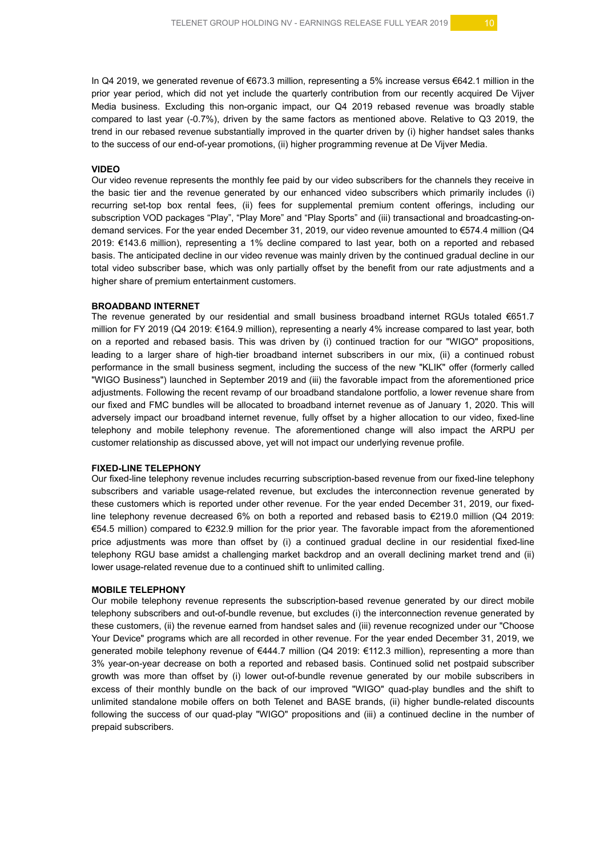In Q4 2019, we generated revenue of €673.3 million, representing a 5% increase versus €642.1 million in the prior year period, which did not yet include the quarterly contribution from our recently acquired De Vijver Media business. Excluding this non-organic impact, our Q4 2019 rebased revenue was broadly stable compared to last year (-0.7%), driven by the same factors as mentioned above. Relative to Q3 2019, the trend in our rebased revenue substantially improved in the quarter driven by (i) higher handset sales thanks to the success of our end-of-year promotions, (ii) higher programming revenue at De Vijver Media.

#### **VIDEO**

Our video revenue represents the monthly fee paid by our video subscribers for the channels they receive in the basic tier and the revenue generated by our enhanced video subscribers which primarily includes (i) recurring set-top box rental fees, (ii) fees for supplemental premium content offerings, including our subscription VOD packages "Play", "Play More" and "Play Sports" and (iii) transactional and broadcasting-ondemand services. For the year ended December 31, 2019, our video revenue amounted to €574.4 million (Q4 2019: €143.6 million), representing a 1% decline compared to last year, both on a reported and rebased basis. The anticipated decline in our video revenue was mainly driven by the continued gradual decline in our total video subscriber base, which was only partially offset by the benefit from our rate adjustments and a higher share of premium entertainment customers.

#### **BROADBAND INTERNET**

The revenue generated by our residential and small business broadband internet RGUs totaled €651.7 million for FY 2019 (Q4 2019: €164.9 million), representing a nearly 4% increase compared to last year, both on a reported and rebased basis. This was driven by (i) continued traction for our "WIGO" propositions, leading to a larger share of high-tier broadband internet subscribers in our mix, (ii) a continued robust performance in the small business segment, including the success of the new "KLIK" offer (formerly called "WIGO Business") launched in September 2019 and (iii) the favorable impact from the aforementioned price adjustments. Following the recent revamp of our broadband standalone portfolio, a lower revenue share from our fixed and FMC bundles will be allocated to broadband internet revenue as of January 1, 2020. This will adversely impact our broadband internet revenue, fully offset by a higher allocation to our video, fixed-line telephony and mobile telephony revenue. The aforementioned change will also impact the ARPU per customer relationship as discussed above, yet will not impact our underlying revenue profile.

#### **FIXED-LINE TELEPHONY**

Our fixed-line telephony revenue includes recurring subscription-based revenue from our fixed-line telephony subscribers and variable usage-related revenue, but excludes the interconnection revenue generated by these customers which is reported under other revenue. For the year ended December 31, 2019, our fixedline telephony revenue decreased 6% on both a reported and rebased basis to €219.0 million (Q4 2019: €54.5 million) compared to €232.9 million for the prior year. The favorable impact from the aforementioned price adjustments was more than offset by (i) a continued gradual decline in our residential fixed-line telephony RGU base amidst a challenging market backdrop and an overall declining market trend and (ii) lower usage-related revenue due to a continued shift to unlimited calling.

#### **MOBILE TELEPHONY**

Our mobile telephony revenue represents the subscription-based revenue generated by our direct mobile telephony subscribers and out-of-bundle revenue, but excludes (i) the interconnection revenue generated by these customers, (ii) the revenue earned from handset sales and (iii) revenue recognized under our "Choose Your Device" programs which are all recorded in other revenue. For the year ended December 31, 2019, we generated mobile telephony revenue of €444.7 million (Q4 2019: €112.3 million), representing a more than 3% year-on-year decrease on both a reported and rebased basis. Continued solid net postpaid subscriber growth was more than offset by (i) lower out-of-bundle revenue generated by our mobile subscribers in excess of their monthly bundle on the back of our improved "WIGO" quad-play bundles and the shift to unlimited standalone mobile offers on both Telenet and BASE brands, (ii) higher bundle-related discounts following the success of our quad-play "WIGO" propositions and (iii) a continued decline in the number of prepaid subscribers.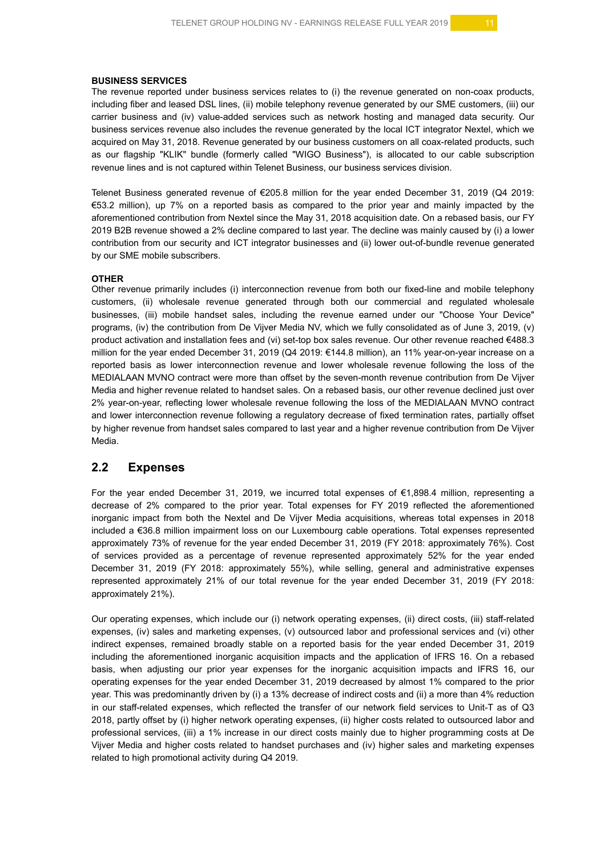#### **BUSINESS SERVICES**

The revenue reported under business services relates to (i) the revenue generated on non-coax products, including fiber and leased DSL lines, (ii) mobile telephony revenue generated by our SME customers, (iii) our carrier business and (iv) value-added services such as network hosting and managed data security. Our business services revenue also includes the revenue generated by the local ICT integrator Nextel, which we acquired on May 31, 2018. Revenue generated by our business customers on all coax-related products, such as our flagship "KLIK" bundle (formerly called "WIGO Business"), is allocated to our cable subscription revenue lines and is not captured within Telenet Business, our business services division.

Telenet Business generated revenue of €205.8 million for the year ended December 31, 2019 (Q4 2019: €53.2 million), up 7% on a reported basis as compared to the prior year and mainly impacted by the aforementioned contribution from Nextel since the May 31, 2018 acquisition date. On a rebased basis, our FY 2019 B2B revenue showed a 2% decline compared to last year. The decline was mainly caused by (i) a lower contribution from our security and ICT integrator businesses and (ii) lower out-of-bundle revenue generated by our SME mobile subscribers.

#### **OTHER**

Other revenue primarily includes (i) interconnection revenue from both our fixed-line and mobile telephony customers, (ii) wholesale revenue generated through both our commercial and regulated wholesale businesses, (iii) mobile handset sales, including the revenue earned under our "Choose Your Device" programs, (iv) the contribution from De Vijver Media NV, which we fully consolidated as of June 3, 2019, (v) product activation and installation fees and (vi) set-top box sales revenue. Our other revenue reached €488.3 million for the year ended December 31, 2019 (Q4 2019: €144.8 million), an 11% year-on-year increase on a reported basis as lower interconnection revenue and lower wholesale revenue following the loss of the MEDIALAAN MVNO contract were more than offset by the seven-month revenue contribution from De Vijver Media and higher revenue related to handset sales. On a rebased basis, our other revenue declined just over 2% year-on-year, reflecting lower wholesale revenue following the loss of the MEDIALAAN MVNO contract and lower interconnection revenue following a regulatory decrease of fixed termination rates, partially offset by higher revenue from handset sales compared to last year and a higher revenue contribution from De Vijver Media.

# **2.2 Expenses**

For the year ended December 31, 2019, we incurred total expenses of €1,898.4 million, representing a decrease of 2% compared to the prior year. Total expenses for FY 2019 reflected the aforementioned inorganic impact from both the Nextel and De Vijver Media acquisitions, whereas total expenses in 2018 included a €36.8 million impairment loss on our Luxembourg cable operations. Total expenses represented approximately 73% of revenue for the year ended December 31, 2019 (FY 2018: approximately 76%). Cost of services provided as a percentage of revenue represented approximately 52% for the year ended December 31, 2019 (FY 2018: approximately 55%), while selling, general and administrative expenses represented approximately 21% of our total revenue for the year ended December 31, 2019 (FY 2018: approximately 21%).

Our operating expenses, which include our (i) network operating expenses, (ii) direct costs, (iii) staff-related expenses, (iv) sales and marketing expenses, (v) outsourced labor and professional services and (vi) other indirect expenses, remained broadly stable on a reported basis for the year ended December 31, 2019 including the aforementioned inorganic acquisition impacts and the application of IFRS 16. On a rebased basis, when adjusting our prior year expenses for the inorganic acquisition impacts and IFRS 16, our operating expenses for the year ended December 31, 2019 decreased by almost 1% compared to the prior year. This was predominantly driven by (i) a 13% decrease of indirect costs and (ii) a more than 4% reduction in our staff-related expenses, which reflected the transfer of our network field services to Unit-T as of Q3 2018, partly offset by (i) higher network operating expenses, (ii) higher costs related to outsourced labor and professional services, (iii) a 1% increase in our direct costs mainly due to higher programming costs at De Vijver Media and higher costs related to handset purchases and (iv) higher sales and marketing expenses related to high promotional activity during Q4 2019.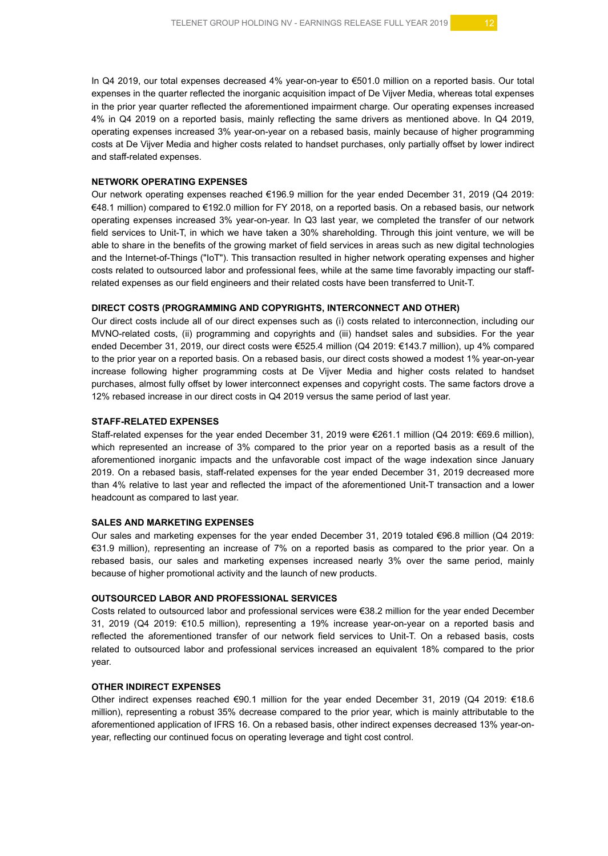In Q4 2019, our total expenses decreased 4% year-on-year to €501.0 million on a reported basis. Our total expenses in the quarter reflected the inorganic acquisition impact of De Vijver Media, whereas total expenses in the prior year quarter reflected the aforementioned impairment charge. Our operating expenses increased 4% in Q4 2019 on a reported basis, mainly reflecting the same drivers as mentioned above. In Q4 2019, operating expenses increased 3% year-on-year on a rebased basis, mainly because of higher programming costs at De Vijver Media and higher costs related to handset purchases, only partially offset by lower indirect and staff-related expenses.

#### **NETWORK OPERATING EXPENSES**

Our network operating expenses reached €196.9 million for the year ended December 31, 2019 (Q4 2019: €48.1 million) compared to €192.0 million for FY 2018, on a reported basis. On a rebased basis, our network operating expenses increased 3% year-on-year. In Q3 last year, we completed the transfer of our network field services to Unit-T, in which we have taken a 30% shareholding. Through this joint venture, we will be able to share in the benefits of the growing market of field services in areas such as new digital technologies and the Internet-of-Things ("IoT"). This transaction resulted in higher network operating expenses and higher costs related to outsourced labor and professional fees, while at the same time favorably impacting our staffrelated expenses as our field engineers and their related costs have been transferred to Unit-T.

#### **DIRECT COSTS (PROGRAMMING AND COPYRIGHTS, INTERCONNECT AND OTHER)**

Our direct costs include all of our direct expenses such as (i) costs related to interconnection, including our MVNO-related costs, (ii) programming and copyrights and (iii) handset sales and subsidies. For the year ended December 31, 2019, our direct costs were €525.4 million (Q4 2019: €143.7 million), up 4% compared to the prior year on a reported basis. On a rebased basis, our direct costs showed a modest 1% year-on-year increase following higher programming costs at De Vijver Media and higher costs related to handset purchases, almost fully offset by lower interconnect expenses and copyright costs. The same factors drove a 12% rebased increase in our direct costs in Q4 2019 versus the same period of last year.

#### **STAFF-RELATED EXPENSES**

Staff-related expenses for the year ended December 31, 2019 were €261.1 million (Q4 2019: €69.6 million), which represented an increase of 3% compared to the prior year on a reported basis as a result of the aforementioned inorganic impacts and the unfavorable cost impact of the wage indexation since January 2019. On a rebased basis, staff-related expenses for the year ended December 31, 2019 decreased more than 4% relative to last year and reflected the impact of the aforementioned Unit-T transaction and a lower headcount as compared to last year.

#### **SALES AND MARKETING EXPENSES**

Our sales and marketing expenses for the year ended December 31, 2019 totaled €96.8 million (Q4 2019: €31.9 million), representing an increase of 7% on a reported basis as compared to the prior year. On a rebased basis, our sales and marketing expenses increased nearly 3% over the same period, mainly because of higher promotional activity and the launch of new products.

#### **OUTSOURCED LABOR AND PROFESSIONAL SERVICES**

Costs related to outsourced labor and professional services were €38.2 million for the year ended December 31, 2019 (Q4 2019: €10.5 million), representing a 19% increase year-on-year on a reported basis and reflected the aforementioned transfer of our network field services to Unit-T. On a rebased basis, costs related to outsourced labor and professional services increased an equivalent 18% compared to the prior year.

#### **OTHER INDIRECT EXPENSES**

Other indirect expenses reached €90.1 million for the year ended December 31, 2019 (Q4 2019: €18.6 million), representing a robust 35% decrease compared to the prior year, which is mainly attributable to the aforementioned application of IFRS 16. On a rebased basis, other indirect expenses decreased 13% year-onyear, reflecting our continued focus on operating leverage and tight cost control.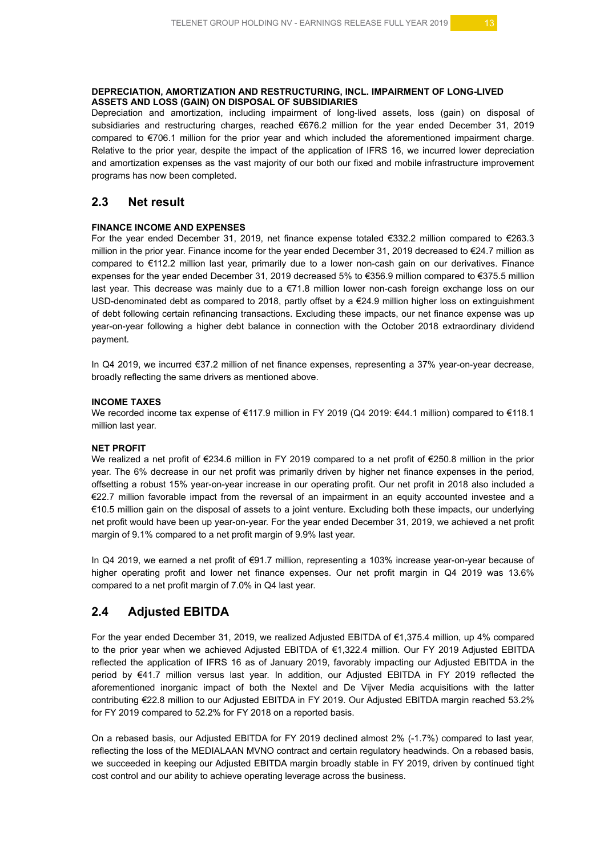#### **DEPRECIATION, AMORTIZATION AND RESTRUCTURING, INCL. IMPAIRMENT OF LONG-LIVED ASSETS AND LOSS (GAIN) ON DISPOSAL OF SUBSIDIARIES**

Depreciation and amortization, including impairment of long-lived assets, loss (gain) on disposal of subsidiaries and restructuring charges, reached €676.2 million for the year ended December 31, 2019 compared to €706.1 million for the prior year and which included the aforementioned impairment charge. Relative to the prior year, despite the impact of the application of IFRS 16, we incurred lower depreciation and amortization expenses as the vast majority of our both our fixed and mobile infrastructure improvement programs has now been completed.

# **2.3 Net result**

#### **FINANCE INCOME AND EXPENSES**

For the year ended December 31, 2019, net finance expense totaled €332.2 million compared to €263.3 million in the prior year. Finance income for the year ended December 31, 2019 decreased to €24.7 million as compared to €112.2 million last year, primarily due to a lower non-cash gain on our derivatives. Finance expenses for the year ended December 31, 2019 decreased 5% to €356.9 million compared to €375.5 million last year. This decrease was mainly due to a €71.8 million lower non-cash foreign exchange loss on our USD-denominated debt as compared to 2018, partly offset by a €24.9 million higher loss on extinguishment of debt following certain refinancing transactions. Excluding these impacts, our net finance expense was up year-on-year following a higher debt balance in connection with the October 2018 extraordinary dividend payment.

In Q4 2019, we incurred €37.2 million of net finance expenses, representing a 37% year-on-year decrease, broadly reflecting the same drivers as mentioned above.

#### **INCOME TAXES**

We recorded income tax expense of €117.9 million in FY 2019 (Q4 2019: €44.1 million) compared to €118.1 million last year.

#### **NET PROFIT**

We realized a net profit of €234.6 million in FY 2019 compared to a net profit of €250.8 million in the prior year. The 6% decrease in our net profit was primarily driven by higher net finance expenses in the period, offsetting a robust 15% year-on-year increase in our operating profit. Our net profit in 2018 also included a €22.7 million favorable impact from the reversal of an impairment in an equity accounted investee and a €10.5 million gain on the disposal of assets to a joint venture. Excluding both these impacts, our underlying net profit would have been up year-on-year. For the year ended December 31, 2019, we achieved a net profit margin of 9.1% compared to a net profit margin of 9.9% last year.

In Q4 2019, we earned a net profit of €91.7 million, representing a 103% increase year-on-year because of higher operating profit and lower net finance expenses. Our net profit margin in Q4 2019 was 13.6% compared to a net profit margin of 7.0% in Q4 last year.

# **2.4 Adjusted EBITDA**

For the year ended December 31, 2019, we realized Adjusted EBITDA of €1,375.4 million, up 4% compared to the prior year when we achieved Adjusted EBITDA of €1,322.4 million. Our FY 2019 Adjusted EBITDA reflected the application of IFRS 16 as of January 2019, favorably impacting our Adjusted EBITDA in the period by €41.7 million versus last year. In addition, our Adjusted EBITDA in FY 2019 reflected the aforementioned inorganic impact of both the Nextel and De Vijver Media acquisitions with the latter contributing €22.8 million to our Adjusted EBITDA in FY 2019. Our Adjusted EBITDA margin reached 53.2% for FY 2019 compared to 52.2% for FY 2018 on a reported basis.

On a rebased basis, our Adjusted EBITDA for FY 2019 declined almost 2% (-1.7%) compared to last year, reflecting the loss of the MEDIALAAN MVNO contract and certain regulatory headwinds. On a rebased basis, we succeeded in keeping our Adjusted EBITDA margin broadly stable in FY 2019, driven by continued tight cost control and our ability to achieve operating leverage across the business.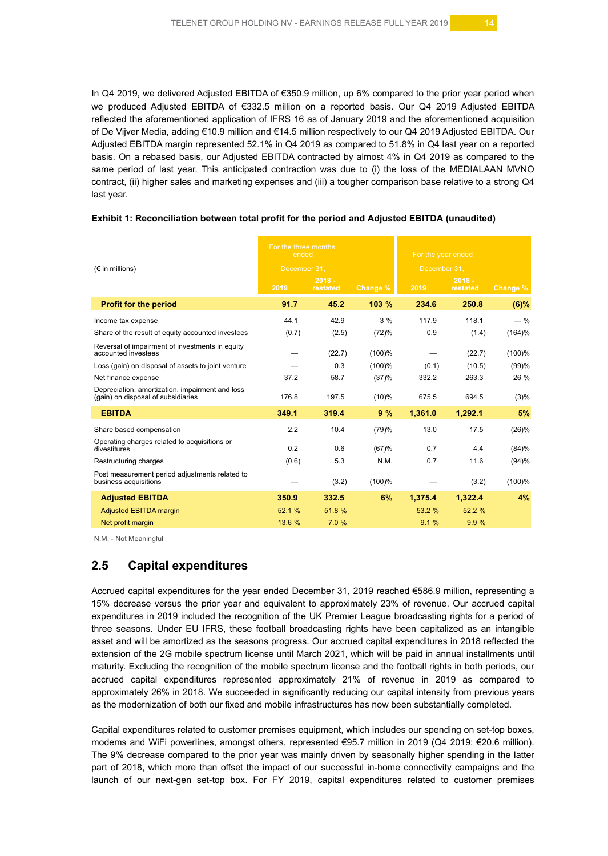In Q4 2019, we delivered Adjusted EBITDA of €350.9 million, up 6% compared to the prior year period when we produced Adjusted EBITDA of €332.5 million on a reported basis. Our Q4 2019 Adjusted EBITDA reflected the aforementioned application of IFRS 16 as of January 2019 and the aforementioned acquisition of De Vijver Media, adding €10.9 million and €14.5 million respectively to our Q4 2019 Adjusted EBITDA. Our Adjusted EBITDA margin represented 52.1% in Q4 2019 as compared to 51.8% in Q4 last year on a reported basis. On a rebased basis, our Adjusted EBITDA contracted by almost 4% in Q4 2019 as compared to the same period of last year. This anticipated contraction was due to (i) the loss of the MEDIALAAN MVNO contract, (ii) higher sales and marketing expenses and (iii) a tougher comparison base relative to a strong Q4 last year.

|                                                                                       | For the three months<br>ended |                      |           | For the year ended |                      |          |  |
|---------------------------------------------------------------------------------------|-------------------------------|----------------------|-----------|--------------------|----------------------|----------|--|
| $(\epsilon$ in millions)                                                              | December 31.                  |                      |           | December 31,       |                      |          |  |
|                                                                                       | 2019                          | $2018 -$<br>restated | Change %  | 2019               | $2018 -$<br>restated | Change % |  |
| <b>Profit for the period</b>                                                          | 91.7                          | 45.2                 | 103 %     | 234.6              | 250.8                | (6)%     |  |
| Income tax expense                                                                    | 44.1                          | 42.9                 | 3%        | 117.9              | 118.1                | $-$ %    |  |
| Share of the result of equity accounted investees                                     | (0.7)                         | (2.5)                | (72)%     | 0.9                | (1.4)                | (164)%   |  |
| Reversal of impairment of investments in equity<br>accounted investees                |                               | (22.7)               | $(100)$ % |                    | (22.7)               | (100)%   |  |
| Loss (gain) on disposal of assets to joint venture                                    |                               | 0.3                  | (100)%    | (0.1)              | (10.5)               | (99)%    |  |
| Net finance expense                                                                   | 37.2                          | 58.7                 | (37)%     | 332.2              | 263.3                | 26 %     |  |
| Depreciation, amortization, impairment and loss<br>(gain) on disposal of subsidiaries | 176.8                         | 197.5                | $(10)\%$  | 675.5              | 694.5                | (3)%     |  |
| <b>EBITDA</b>                                                                         | 349.1                         | 319.4                | 9%        | 1,361.0            | 1,292.1              | 5%       |  |
| Share based compensation                                                              | 2.2                           | 10.4                 | (79)%     | 13.0               | 17.5                 | (26)%    |  |
| Operating charges related to acquisitions or<br>divestitures                          | 0.2                           | 0.6                  | (67)%     | 0.7                | 4.4                  | (84)%    |  |
| Restructuring charges                                                                 | (0.6)                         | 5.3                  | N.M.      | 0.7                | 11.6                 | (94)%    |  |
| Post measurement period adjustments related to<br>business acquisitions               |                               | (3.2)                | (100)%    |                    | (3.2)                | (100)%   |  |
| <b>Adjusted EBITDA</b>                                                                | 350.9                         | 332.5                | 6%        | 1.375.4            | 1,322.4              | 4%       |  |
| <b>Adjusted EBITDA margin</b>                                                         | 52.1 %                        | 51.8 %               |           | 53.2 %             | 52.2 %               |          |  |
| Net profit margin                                                                     | 13.6 %                        | 7.0%                 |           | 9.1%               | 9.9%                 |          |  |

#### **Exhibit 1: Reconciliation between total profit for the period and Adjusted EBITDA (unaudited)**

N.M. - Not Meaningful

# **2.5 Capital expenditures**

Accrued capital expenditures for the year ended December 31, 2019 reached €586.9 million, representing a 15% decrease versus the prior year and equivalent to approximately 23% of revenue. Our accrued capital expenditures in 2019 included the recognition of the UK Premier League broadcasting rights for a period of three seasons. Under EU IFRS, these football broadcasting rights have been capitalized as an intangible asset and will be amortized as the seasons progress. Our accrued capital expenditures in 2018 reflected the extension of the 2G mobile spectrum license until March 2021, which will be paid in annual installments until maturity. Excluding the recognition of the mobile spectrum license and the football rights in both periods, our accrued capital expenditures represented approximately 21% of revenue in 2019 as compared to approximately 26% in 2018. We succeeded in significantly reducing our capital intensity from previous years as the modernization of both our fixed and mobile infrastructures has now been substantially completed.

Capital expenditures related to customer premises equipment, which includes our spending on set-top boxes, modems and WiFi powerlines, amongst others, represented €95.7 million in 2019 (Q4 2019: €20.6 million). The 9% decrease compared to the prior year was mainly driven by seasonally higher spending in the latter part of 2018, which more than offset the impact of our successful in-home connectivity campaigns and the launch of our next-gen set-top box. For FY 2019, capital expenditures related to customer premises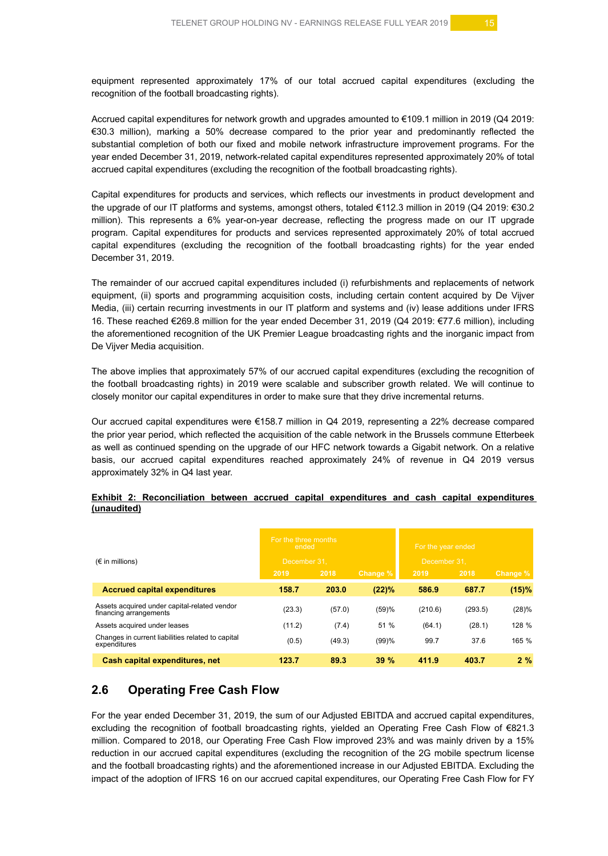equipment represented approximately 17% of our total accrued capital expenditures (excluding the recognition of the football broadcasting rights).

Accrued capital expenditures for network growth and upgrades amounted to €109.1 million in 2019 (Q4 2019: €30.3 million), marking a 50% decrease compared to the prior year and predominantly reflected the substantial completion of both our fixed and mobile network infrastructure improvement programs. For the year ended December 31, 2019, network-related capital expenditures represented approximately 20% of total accrued capital expenditures (excluding the recognition of the football broadcasting rights).

Capital expenditures for products and services, which reflects our investments in product development and the upgrade of our IT platforms and systems, amongst others, totaled €112.3 million in 2019 (Q4 2019: €30.2 million). This represents a 6% year-on-year decrease, reflecting the progress made on our IT upgrade program. Capital expenditures for products and services represented approximately 20% of total accrued capital expenditures (excluding the recognition of the football broadcasting rights) for the year ended December 31, 2019.

The remainder of our accrued capital expenditures included (i) refurbishments and replacements of network equipment, (ii) sports and programming acquisition costs, including certain content acquired by De Vijver Media, (iii) certain recurring investments in our IT platform and systems and (iv) lease additions under IFRS 16. These reached €269.8 million for the year ended December 31, 2019 (Q4 2019: €77.6 million), including the aforementioned recognition of the UK Premier League broadcasting rights and the inorganic impact from De Vijver Media acquisition.

The above implies that approximately 57% of our accrued capital expenditures (excluding the recognition of the football broadcasting rights) in 2019 were scalable and subscriber growth related. We will continue to closely monitor our capital expenditures in order to make sure that they drive incremental returns.

Our accrued capital expenditures were €158.7 million in Q4 2019, representing a 22% decrease compared the prior year period, which reflected the acquisition of the cable network in the Brussels commune Etterbeek as well as continued spending on the upgrade of our HFC network towards a Gigabit network. On a relative basis, our accrued capital expenditures reached approximately 24% of revenue in Q4 2019 versus approximately 32% in Q4 last year.

#### **Exhibit 2: Reconciliation between accrued capital expenditures and cash capital expenditures (unaudited)**

|                                                                        | For the three months<br>ended |                              |          | For the year ended |         |          |  |
|------------------------------------------------------------------------|-------------------------------|------------------------------|----------|--------------------|---------|----------|--|
| $(\epsilon$ in millions)                                               |                               | December 31.<br>December 31. |          |                    |         |          |  |
|                                                                        | 2019                          | 2018                         | Change % | 2019               | 2018    | Change % |  |
| <b>Accrued capital expenditures</b>                                    | 158.7                         | 203.0                        | (22)%    | 586.9              | 687.7   | (15)%    |  |
| Assets acquired under capital-related vendor<br>financing arrangements | (23.3)                        | (57.0)                       | (59)%    | (210.6)            | (293.5) | (28)%    |  |
| Assets acquired under leases                                           | (11.2)                        | (7.4)                        | 51 %     | (64.1)             | (28.1)  | 128 %    |  |
| Changes in current liabilities related to capital<br>expenditures      | (0.5)                         | (49.3)                       | (99)%    | 99.7               | 37.6    | 165 %    |  |
| Cash capital expenditures, net                                         | 123.7                         | 89.3                         | 39%      | 411.9              | 403.7   | 2%       |  |

# **2.6 Operating Free Cash Flow**

For the year ended December 31, 2019, the sum of our Adjusted EBITDA and accrued capital expenditures, excluding the recognition of football broadcasting rights, yielded an Operating Free Cash Flow of €821.3 million. Compared to 2018, our Operating Free Cash Flow improved 23% and was mainly driven by a 15% reduction in our accrued capital expenditures (excluding the recognition of the 2G mobile spectrum license and the football broadcasting rights) and the aforementioned increase in our Adjusted EBITDA. Excluding the impact of the adoption of IFRS 16 on our accrued capital expenditures, our Operating Free Cash Flow for FY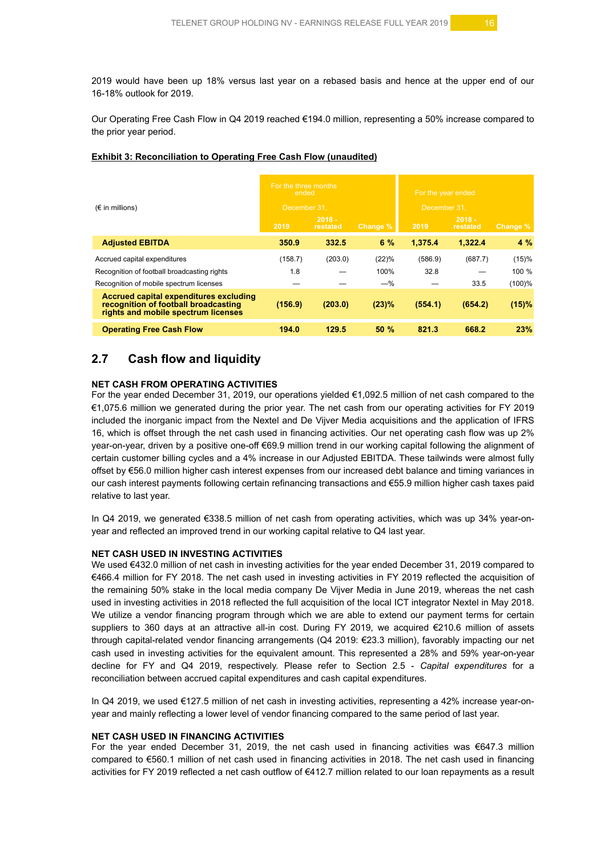2019 would have been up 18% versus last year on a rebased basis and hence at the upper end of our 16-18% outlook for 2019.

Our Operating Free Cash Flow in Q4 2019 reached €194.0 million, representing a 50% increase compared to the prior year period.

|                                                                                                                       | For the three months<br>ended |                      |          | For the year ended |                      |          |  |
|-----------------------------------------------------------------------------------------------------------------------|-------------------------------|----------------------|----------|--------------------|----------------------|----------|--|
| $(\epsilon$ in millions)                                                                                              | December 31.                  |                      |          | December 31.       |                      |          |  |
|                                                                                                                       | 2019                          | $2018 -$<br>restated | Change % | 2019               | $2018 -$<br>restated | Change % |  |
| <b>Adjusted EBITDA</b>                                                                                                | 350.9                         | 332.5                | 6%       | 1.375.4            | 1.322.4              | 4%       |  |
| Accrued capital expenditures                                                                                          | (158.7)                       | (203.0)              | (22)%    | (586.9)            | (687.7)              | (15)%    |  |
| Recognition of football broadcasting rights                                                                           | 1.8                           |                      | 100%     | 32.8               |                      | 100 %    |  |
| Recognition of mobile spectrum licenses                                                                               |                               |                      | $-$ %    |                    | 33.5                 | (100)%   |  |
| Accrued capital expenditures excluding<br>recognition of football broadcasting<br>rights and mobile spectrum licenses | (156.9)                       | (203.0)              | (23)%    | (554.1)            | (654.2)              | (15)%    |  |
| <b>Operating Free Cash Flow</b>                                                                                       | 194.0                         | 129.5                | 50%      | 821.3              | 668.2                | 23%      |  |

#### **Exhibit 3: Reconciliation to Operating Free Cash Flow (unaudited)**

# **2.7 Cash flow and liquidity**

#### **NET CASH FROM OPERATING ACTIVITIES**

For the year ended December 31, 2019, our operations yielded €1,092.5 million of net cash compared to the €1,075.6 million we generated during the prior year. The net cash from our operating activities for FY 2019 included the inorganic impact from the Nextel and De Vijver Media acquisitions and the application of IFRS 16, which is offset through the net cash used in financing activities. Our net operating cash flow was up 2% year-on-year, driven by a positive one-off €69.9 million trend in our working capital following the alignment of certain customer billing cycles and a 4% increase in our Adjusted EBITDA. These tailwinds were almost fully offset by €56.0 million higher cash interest expenses from our increased debt balance and timing variances in our cash interest payments following certain refinancing transactions and €55.9 million higher cash taxes paid relative to last year.

In Q4 2019, we generated €338.5 million of net cash from operating activities, which was up 34% year-onyear and reflected an improved trend in our working capital relative to Q4 last year.

#### **NET CASH USED IN INVESTING ACTIVITIES**

We used €432.0 million of net cash in investing activities for the year ended December 31, 2019 compared to €466.4 million for FY 2018. The net cash used in investing activities in FY 2019 reflected the acquisition of the remaining 50% stake in the local media company De Vijver Media in June 2019, whereas the net cash used in investing activities in 2018 reflected the full acquisition of the local ICT integrator Nextel in May 2018. We utilize a vendor financing program through which we are able to extend our payment terms for certain suppliers to 360 days at an attractive all-in cost. During FY 2019, we acquired €210.6 million of assets through capital-related vendor financing arrangements (Q4 2019: €23.3 million), favorably impacting our net cash used in investing activities for the equivalent amount. This represented a 28% and 59% year-on-year decline for FY and Q4 2019, respectively. Please refer to Section 2.5 - *Capital expenditures* for a reconciliation between accrued capital expenditures and cash capital expenditures.

In Q4 2019, we used €127.5 million of net cash in investing activities, representing a 42% increase year-onyear and mainly reflecting a lower level of vendor financing compared to the same period of last year.

#### **NET CASH USED IN FINANCING ACTIVITIES**

For the year ended December 31, 2019, the net cash used in financing activities was €647.3 million compared to €560.1 million of net cash used in financing activities in 2018. The net cash used in financing activities for FY 2019 reflected a net cash outflow of €412.7 million related to our loan repayments as a result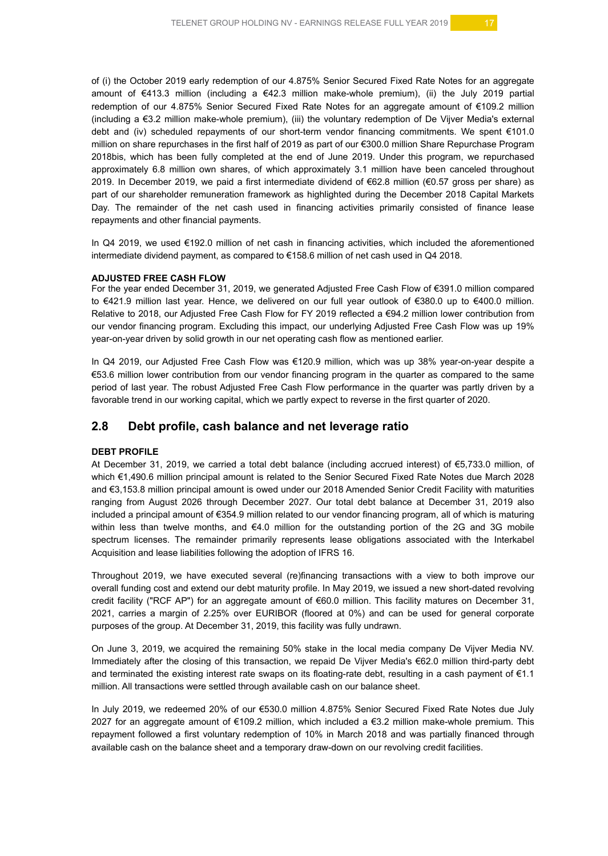of (i) the October 2019 early redemption of our 4.875% Senior Secured Fixed Rate Notes for an aggregate amount of €413.3 million (including a €42.3 million make-whole premium), (ii) the July 2019 partial redemption of our 4.875% Senior Secured Fixed Rate Notes for an aggregate amount of €109.2 million (including a €3.2 million make-whole premium), (iii) the voluntary redemption of De Vijver Media's external debt and (iv) scheduled repayments of our short-term vendor financing commitments. We spent €101.0 million on share repurchases in the first half of 2019 as part of our €300.0 million Share Repurchase Program 2018bis, which has been fully completed at the end of June 2019. Under this program, we repurchased approximately 6.8 million own shares, of which approximately 3.1 million have been canceled throughout 2019. In December 2019, we paid a first intermediate dividend of €62.8 million (€0.57 gross per share) as part of our shareholder remuneration framework as highlighted during the December 2018 Capital Markets Day. The remainder of the net cash used in financing activities primarily consisted of finance lease repayments and other financial payments.

In Q4 2019, we used €192.0 million of net cash in financing activities, which included the aforementioned intermediate dividend payment, as compared to €158.6 million of net cash used in Q4 2018.

#### **ADJUSTED FREE CASH FLOW**

For the year ended December 31, 2019, we generated Adjusted Free Cash Flow of €391.0 million compared to €421.9 million last year. Hence, we delivered on our full year outlook of €380.0 up to €400.0 million. Relative to 2018, our Adjusted Free Cash Flow for FY 2019 reflected a €94.2 million lower contribution from our vendor financing program. Excluding this impact, our underlying Adjusted Free Cash Flow was up 19% year-on-year driven by solid growth in our net operating cash flow as mentioned earlier.

In Q4 2019, our Adjusted Free Cash Flow was €120.9 million, which was up 38% year-on-year despite a €53.6 million lower contribution from our vendor financing program in the quarter as compared to the same period of last year. The robust Adjusted Free Cash Flow performance in the quarter was partly driven by a favorable trend in our working capital, which we partly expect to reverse in the first quarter of 2020.

### **2.8 Debt profile, cash balance and net leverage ratio**

#### **DEBT PROFILE**

At December 31, 2019, we carried a total debt balance (including accrued interest) of €5,733.0 million, of which €1,490.6 million principal amount is related to the Senior Secured Fixed Rate Notes due March 2028 and €3,153.8 million principal amount is owed under our 2018 Amended Senior Credit Facility with maturities ranging from August 2026 through December 2027. Our total debt balance at December 31, 2019 also included a principal amount of €354.9 million related to our vendor financing program, all of which is maturing within less than twelve months, and €4.0 million for the outstanding portion of the 2G and 3G mobile spectrum licenses. The remainder primarily represents lease obligations associated with the Interkabel Acquisition and lease liabilities following the adoption of IFRS 16.

Throughout 2019, we have executed several (re)financing transactions with a view to both improve our overall funding cost and extend our debt maturity profile. In May 2019, we issued a new short-dated revolving credit facility ("RCF AP") for an aggregate amount of €60.0 million. This facility matures on December 31, 2021, carries a margin of 2.25% over EURIBOR (floored at 0%) and can be used for general corporate purposes of the group. At December 31, 2019, this facility was fully undrawn.

On June 3, 2019, we acquired the remaining 50% stake in the local media company De Vijver Media NV. Immediately after the closing of this transaction, we repaid De Vijver Media's €62.0 million third-party debt and terminated the existing interest rate swaps on its floating-rate debt, resulting in a cash payment of €1.1 million. All transactions were settled through available cash on our balance sheet.

In July 2019, we redeemed 20% of our €530.0 million 4.875% Senior Secured Fixed Rate Notes due July 2027 for an aggregate amount of €109.2 million, which included a €3.2 million make-whole premium. This repayment followed a first voluntary redemption of 10% in March 2018 and was partially financed through available cash on the balance sheet and a temporary draw-down on our revolving credit facilities.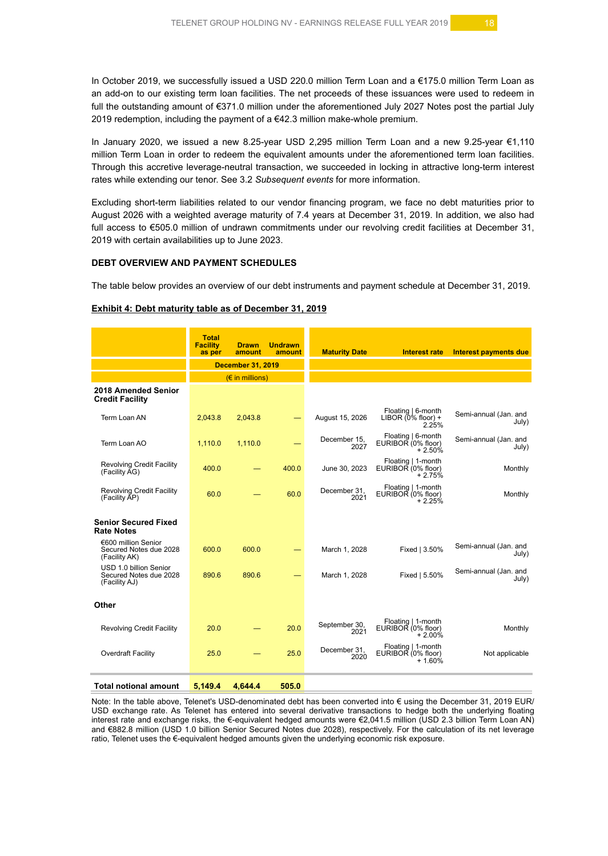In October 2019, we successfully issued a USD 220.0 million Term Loan and a €175.0 million Term Loan as an add-on to our existing term loan facilities. The net proceeds of these issuances were used to redeem in full the outstanding amount of €371.0 million under the aforementioned July 2027 Notes post the partial July 2019 redemption, including the payment of  $a \in 42.3$  million make-whole premium.

In January 2020, we issued a new 8.25-year USD 2,295 million Term Loan and a new 9.25-year €1,110 million Term Loan in order to redeem the equivalent amounts under the aforementioned term loan facilities. Through this accretive leverage-neutral transaction, we succeeded in locking in attractive long-term interest rates while extending our tenor. See 3.2 *Subsequent events* for more information.

Excluding short-term liabilities related to our vendor financing program, we face no debt maturities prior to August 2026 with a weighted average maturity of 7.4 years at December 31, 2019. In addition, we also had full access to €505.0 million of undrawn commitments under our revolving credit facilities at December 31, 2019 with certain availabilities up to June 2023.

#### **DEBT OVERVIEW AND PAYMENT SCHEDULES**

The table below provides an overview of our debt instruments and payment schedule at December 31, 2019.

#### **Exhibit 4: Debt maturity table as of December 31, 2019**

|                                                                   | <b>Total</b><br><b>Facility</b><br>as per | <b>Drawn</b><br>amount            | <b>Undrawn</b><br>amount | <b>Maturity Date</b>  | <b>Interest rate</b>                                 | Interest payments due          |
|-------------------------------------------------------------------|-------------------------------------------|-----------------------------------|--------------------------|-----------------------|------------------------------------------------------|--------------------------------|
|                                                                   |                                           | <b>December 31, 2019</b>          |                          |                       |                                                      |                                |
|                                                                   |                                           | $(E \in \mathbb{R})$ in millions) |                          |                       |                                                      |                                |
| 2018 Amended Senior<br><b>Credit Facility</b>                     |                                           |                                   |                          |                       |                                                      |                                |
| Term Loan AN                                                      | 2,043.8                                   | 2,043.8                           |                          | August 15, 2026       | Floating   6-month<br>LIBOR $(0\%$ floor) +<br>2.25% | Semi-annual (Jan. and<br>July) |
| Term Loan AO                                                      | 1,110.0                                   | 1,110.0                           |                          | December 15.<br>2027  | Floating   6-month<br>EURIBOR (0% floor)<br>$+2.50%$ | Semi-annual (Jan. and<br>July) |
| <b>Revolving Credit Facility</b><br>(Facility AG)                 | 400.0                                     |                                   | 400.0                    | June 30, 2023         | Floating   1-month<br>EURIBOR (0% floor)<br>$+2.75%$ | Monthly                        |
| <b>Revolving Credit Facility</b><br>(Facility AP)                 | 60.0                                      |                                   | 60.0                     | December 31,<br>2021  | Floating   1-month<br>EURIBOR (0% floor)<br>$+2.25%$ | Monthly                        |
| <b>Senior Secured Fixed</b><br><b>Rate Notes</b>                  |                                           |                                   |                          |                       |                                                      |                                |
| €600 million Senior<br>Secured Notes due 2028<br>(Facility AK)    | 600.0                                     | 600.0                             |                          | March 1, 2028         | Fixed   3.50%                                        | Semi-annual (Jan. and<br>July) |
| USD 1.0 billion Senior<br>Secured Notes due 2028<br>(Facility AJ) | 890.6                                     | 890.6                             |                          | March 1, 2028         | Fixed   5.50%                                        | Semi-annual (Jan. and<br>July) |
| Other                                                             |                                           |                                   |                          |                       |                                                      |                                |
| <b>Revolving Credit Facility</b>                                  | 20.0                                      |                                   | 20.0                     | September 30,<br>2021 | Floating   1-month<br>EURIBOR (0% floor)<br>$+2.00%$ | Monthly                        |
| Overdraft Facility                                                | 25.0                                      |                                   | 25.0                     | December 31.<br>2020  | Floating   1-month<br>EURIBOR (0% floor)<br>$+1.60%$ | Not applicable                 |
| <b>Total notional amount</b>                                      | 5.149.4                                   | 4.644.4                           | 505.0                    |                       |                                                      |                                |

Note: In the table above, Telenet's USD-denominated debt has been converted into € using the December 31, 2019 EUR/ USD exchange rate. As Telenet has entered into several derivative transactions to hedge both the underlying floating interest rate and exchange risks, the €-equivalent hedged amounts were €2,041.5 million (USD 2.3 billion Term Loan AN) and €882.8 million (USD 1.0 billion Senior Secured Notes due 2028), respectively. For the calculation of its net leverage ratio, Telenet uses the €-equivalent hedged amounts given the underlying economic risk exposure.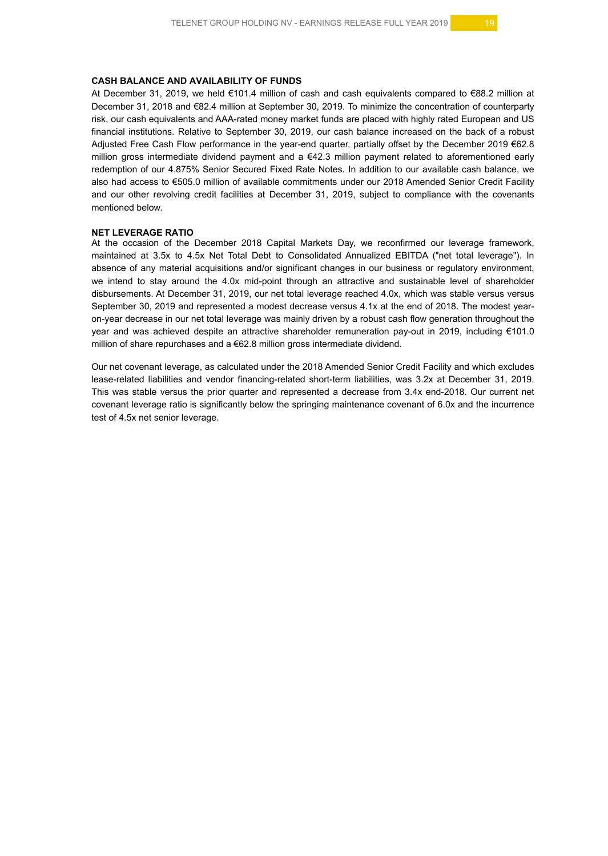#### **CASH BALANCE AND AVAILABILITY OF FUNDS**

At December 31, 2019, we held €101.4 million of cash and cash equivalents compared to €88.2 million at December 31, 2018 and €82.4 million at September 30, 2019. To minimize the concentration of counterparty risk, our cash equivalents and AAA-rated money market funds are placed with highly rated European and US financial institutions. Relative to September 30, 2019, our cash balance increased on the back of a robust Adjusted Free Cash Flow performance in the year-end quarter, partially offset by the December 2019 €62.8 million gross intermediate dividend payment and a €42.3 million payment related to aforementioned early redemption of our 4.875% Senior Secured Fixed Rate Notes. In addition to our available cash balance, we also had access to €505.0 million of available commitments under our 2018 Amended Senior Credit Facility and our other revolving credit facilities at December 31, 2019, subject to compliance with the covenants mentioned below.

#### **NET LEVERAGE RATIO**

At the occasion of the December 2018 Capital Markets Day, we reconfirmed our leverage framework, maintained at 3.5x to 4.5x Net Total Debt to Consolidated Annualized EBITDA ("net total leverage"). In absence of any material acquisitions and/or significant changes in our business or regulatory environment, we intend to stay around the 4.0x mid-point through an attractive and sustainable level of shareholder disbursements. At December 31, 2019, our net total leverage reached 4.0x, which was stable versus versus September 30, 2019 and represented a modest decrease versus 4.1x at the end of 2018. The modest yearon-year decrease in our net total leverage was mainly driven by a robust cash flow generation throughout the year and was achieved despite an attractive shareholder remuneration pay-out in 2019, including €101.0 million of share repurchases and a €62.8 million gross intermediate dividend.

Our net covenant leverage, as calculated under the 2018 Amended Senior Credit Facility and which excludes lease-related liabilities and vendor financing-related short-term liabilities, was 3.2x at December 31, 2019. This was stable versus the prior quarter and represented a decrease from 3.4x end-2018. Our current net covenant leverage ratio is significantly below the springing maintenance covenant of 6.0x and the incurrence test of 4.5x net senior leverage.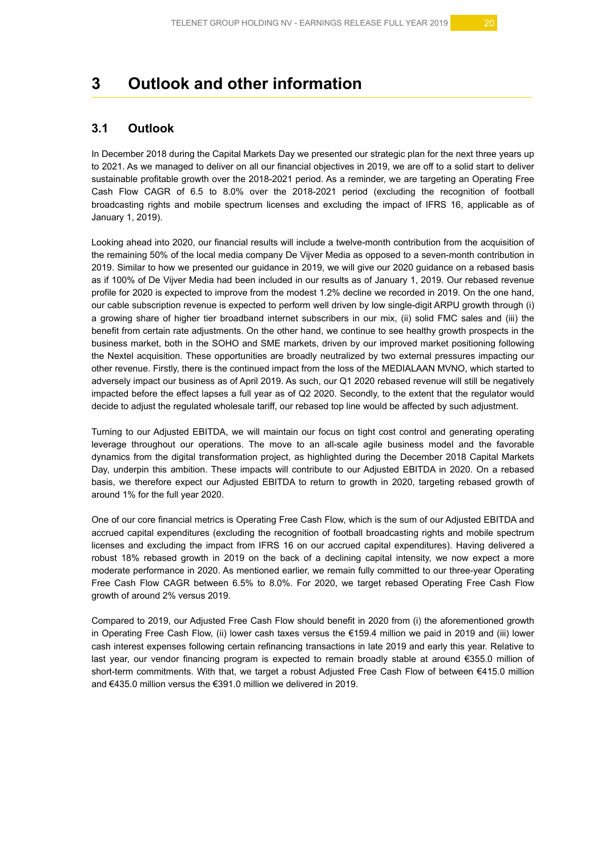# **3 Outlook and other information**

# **3.1 Outlook**

In December 2018 during the Capital Markets Day we presented our strategic plan for the next three years up to 2021. As we managed to deliver on all our financial objectives in 2019, we are off to a solid start to deliver sustainable profitable growth over the 2018-2021 period. As a reminder, we are targeting an Operating Free Cash Flow CAGR of 6.5 to 8.0% over the 2018-2021 period (excluding the recognition of football broadcasting rights and mobile spectrum licenses and excluding the impact of IFRS 16, applicable as of January 1, 2019).

Looking ahead into 2020, our financial results will include a twelve-month contribution from the acquisition of the remaining 50% of the local media company De Vijver Media as opposed to a seven-month contribution in 2019. Similar to how we presented our guidance in 2019, we will give our 2020 guidance on a rebased basis as if 100% of De Vijver Media had been included in our results as of January 1, 2019. Our rebased revenue profile for 2020 is expected to improve from the modest 1.2% decline we recorded in 2019. On the one hand, our cable subscription revenue is expected to perform well driven by low single-digit ARPU growth through (i) a growing share of higher tier broadband internet subscribers in our mix, (ii) solid FMC sales and (iii) the benefit from certain rate adjustments. On the other hand, we continue to see healthy growth prospects in the business market, both in the SOHO and SME markets, driven by our improved market positioning following the Nextel acquisition. These opportunities are broadly neutralized by two external pressures impacting our other revenue. Firstly, there is the continued impact from the loss of the MEDIALAAN MVNO, which started to adversely impact our business as of April 2019. As such, our Q1 2020 rebased revenue will still be negatively impacted before the effect lapses a full year as of Q2 2020. Secondly, to the extent that the regulator would decide to adjust the regulated wholesale tariff, our rebased top line would be affected by such adjustment.

Turning to our Adjusted EBITDA, we will maintain our focus on tight cost control and generating operating leverage throughout our operations. The move to an all-scale agile business model and the favorable dynamics from the digital transformation project, as highlighted during the December 2018 Capital Markets Day, underpin this ambition. These impacts will contribute to our Adjusted EBITDA in 2020. On a rebased basis, we therefore expect our Adjusted EBITDA to return to growth in 2020, targeting rebased growth of around 1% for the full year 2020.

One of our core financial metrics is Operating Free Cash Flow, which is the sum of our Adjusted EBITDA and accrued capital expenditures (excluding the recognition of football broadcasting rights and mobile spectrum licenses and excluding the impact from IFRS 16 on our accrued capital expenditures). Having delivered a robust 18% rebased growth in 2019 on the back of a declining capital intensity, we now expect a more moderate performance in 2020. As mentioned earlier, we remain fully committed to our three-year Operating Free Cash Flow CAGR between 6.5% to 8.0%. For 2020, we target rebased Operating Free Cash Flow growth of around 2% versus 2019.

Compared to 2019, our Adjusted Free Cash Flow should benefit in 2020 from (i) the aforementioned growth in Operating Free Cash Flow, (ii) lower cash taxes versus the €159.4 million we paid in 2019 and (iii) lower cash interest expenses following certain refinancing transactions in late 2019 and early this year. Relative to last year, our vendor financing program is expected to remain broadly stable at around €355.0 million of short-term commitments. With that, we target a robust Adjusted Free Cash Flow of between €415.0 million and €435.0 million versus the €391.0 million we delivered in 2019.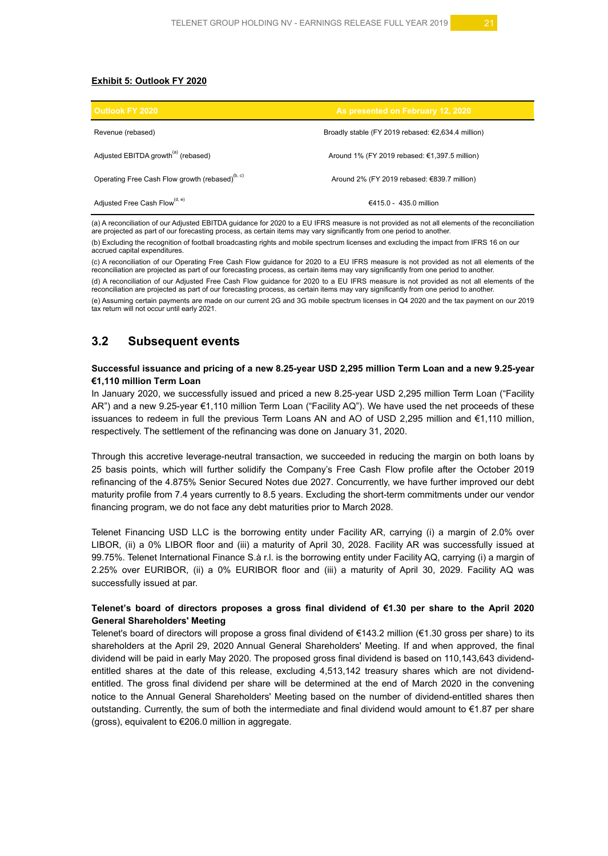#### **Exhibit 5: Outlook FY 2020**

| <b>Outlook FY 2020</b>                                      | As presented on February 12, 2020                    |
|-------------------------------------------------------------|------------------------------------------------------|
| Revenue (rebased)                                           | Broadly stable (FY 2019 rebased: $£2,634.4$ million) |
| Adjusted EBITDA growth <sup>(a)</sup> (rebased)             | Around 1% (FY 2019 rebased: $€1,397.5$ million)      |
| Operating Free Cash Flow growth (rebased) <sup>(b, c)</sup> | Around 2% (FY 2019 rebased: €839.7 million)          |
| Adjusted Free Cash Flow <sup>(d, e)</sup>                   | €415.0 - 435.0 million                               |

(a) A reconciliation of our Adjusted EBITDA guidance for 2020 to a EU IFRS measure is not provided as not all elements of the reconciliation are projected as part of our forecasting process, as certain items may vary significantly from one period to another.

(b) Excluding the recognition of football broadcasting rights and mobile spectrum licenses and excluding the impact from IFRS 16 on our accrued capital expenditures.

(c) A reconciliation of our Operating Free Cash Flow guidance for 2020 to a EU IFRS measure is not provided as not all elements of the reconciliation are projected as part of our forecasting process, as certain items may vary significantly from one period to another.

(d) A reconciliation of our Adjusted Free Cash Flow guidance for 2020 to a EU IFRS measure is not provided as not all elements of the reconciliation are projected as part of our forecasting process, as certain items may vary significantly from one period to another.

(e) Assuming certain payments are made on our current 2G and 3G mobile spectrum licenses in Q4 2020 and the tax payment on our 2019 tax return will not occur until early 2021.

## **3.2 Subsequent events**

#### **Successful issuance and pricing of a new 8.25-year USD 2,295 million Term Loan and a new 9.25-year €1,110 million Term Loan**

In January 2020, we successfully issued and priced a new 8.25-year USD 2,295 million Term Loan ("Facility AR") and a new 9.25-year €1,110 million Term Loan ("Facility AQ"). We have used the net proceeds of these issuances to redeem in full the previous Term Loans AN and AO of USD 2,295 million and €1,110 million, respectively. The settlement of the refinancing was done on January 31, 2020.

Through this accretive leverage-neutral transaction, we succeeded in reducing the margin on both loans by 25 basis points, which will further solidify the Company's Free Cash Flow profile after the October 2019 refinancing of the 4.875% Senior Secured Notes due 2027. Concurrently, we have further improved our debt maturity profile from 7.4 years currently to 8.5 years. Excluding the short-term commitments under our vendor financing program, we do not face any debt maturities prior to March 2028.

Telenet Financing USD LLC is the borrowing entity under Facility AR, carrying (i) a margin of 2.0% over LIBOR, (ii) a 0% LIBOR floor and (iii) a maturity of April 30, 2028. Facility AR was successfully issued at 99.75%. Telenet International Finance S.à r.l. is the borrowing entity under Facility AQ, carrying (i) a margin of 2.25% over EURIBOR, (ii) a 0% EURIBOR floor and (iii) a maturity of April 30, 2029. Facility AQ was successfully issued at par.

#### **Telenet's board of directors proposes a gross final dividend of €1.30 per share to the April 2020 General Shareholders' Meeting**

Telenet's board of directors will propose a gross final dividend of €143.2 million (€1.30 gross per share) to its shareholders at the April 29, 2020 Annual General Shareholders' Meeting. If and when approved, the final dividend will be paid in early May 2020. The proposed gross final dividend is based on 110,143,643 dividendentitled shares at the date of this release, excluding 4,513,142 treasury shares which are not dividendentitled. The gross final dividend per share will be determined at the end of March 2020 in the convening notice to the Annual General Shareholders' Meeting based on the number of dividend-entitled shares then outstanding. Currently, the sum of both the intermediate and final dividend would amount to €1.87 per share (gross), equivalent to €206.0 million in aggregate.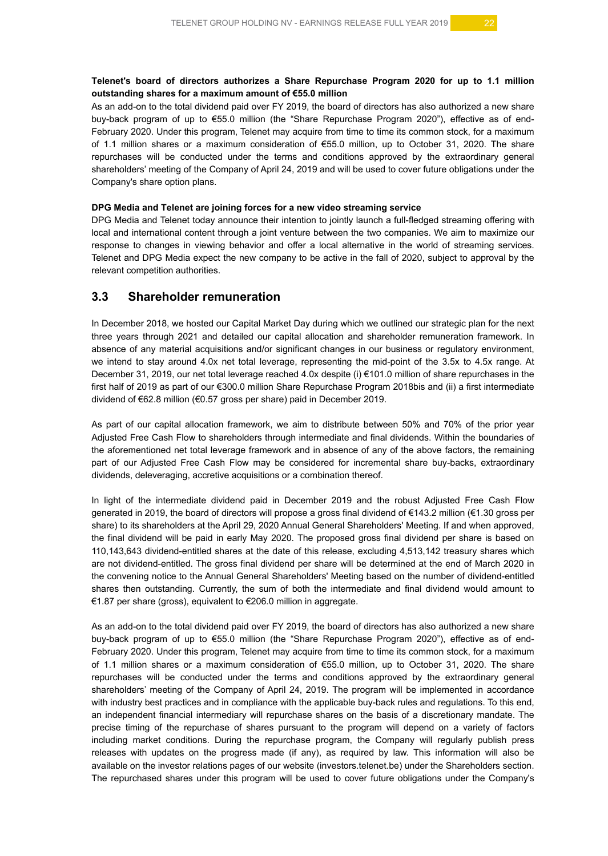### **Telenet's board of directors authorizes a Share Repurchase Program 2020 for up to 1.1 million outstanding shares for a maximum amount of €55.0 million**

As an add-on to the total dividend paid over FY 2019, the board of directors has also authorized a new share buy-back program of up to €55.0 million (the "Share Repurchase Program 2020"), effective as of end-February 2020. Under this program, Telenet may acquire from time to time its common stock, for a maximum of 1.1 million shares or a maximum consideration of €55.0 million, up to October 31, 2020. The share repurchases will be conducted under the terms and conditions approved by the extraordinary general shareholders' meeting of the Company of April 24, 2019 and will be used to cover future obligations under the Company's share option plans.

#### **DPG Media and Telenet are joining forces for a new video streaming service**

DPG Media and Telenet today announce their intention to jointly launch a full-fledged streaming offering with local and international content through a joint venture between the two companies. We aim to maximize our response to changes in viewing behavior and offer a local alternative in the world of streaming services. Telenet and DPG Media expect the new company to be active in the fall of 2020, subject to approval by the relevant competition authorities.

### **3.3 Shareholder remuneration**

In December 2018, we hosted our Capital Market Day during which we outlined our strategic plan for the next three years through 2021 and detailed our capital allocation and shareholder remuneration framework. In absence of any material acquisitions and/or significant changes in our business or regulatory environment, we intend to stay around 4.0x net total leverage, representing the mid-point of the 3.5x to 4.5x range. At December 31, 2019, our net total leverage reached 4.0x despite (i) €101.0 million of share repurchases in the first half of 2019 as part of our €300.0 million Share Repurchase Program 2018bis and (ii) a first intermediate dividend of €62.8 million (€0.57 gross per share) paid in December 2019.

As part of our capital allocation framework, we aim to distribute between 50% and 70% of the prior year Adjusted Free Cash Flow to shareholders through intermediate and final dividends. Within the boundaries of the aforementioned net total leverage framework and in absence of any of the above factors, the remaining part of our Adjusted Free Cash Flow may be considered for incremental share buy-backs, extraordinary dividends, deleveraging, accretive acquisitions or a combination thereof.

In light of the intermediate dividend paid in December 2019 and the robust Adjusted Free Cash Flow generated in 2019, the board of directors will propose a gross final dividend of €143.2 million (€1.30 gross per share) to its shareholders at the April 29, 2020 Annual General Shareholders' Meeting. If and when approved, the final dividend will be paid in early May 2020. The proposed gross final dividend per share is based on 110,143,643 dividend-entitled shares at the date of this release, excluding 4,513,142 treasury shares which are not dividend-entitled. The gross final dividend per share will be determined at the end of March 2020 in the convening notice to the Annual General Shareholders' Meeting based on the number of dividend-entitled shares then outstanding. Currently, the sum of both the intermediate and final dividend would amount to €1.87 per share (gross), equivalent to €206.0 million in aggregate.

As an add-on to the total dividend paid over FY 2019, the board of directors has also authorized a new share buy-back program of up to €55.0 million (the "Share Repurchase Program 2020"), effective as of end-February 2020. Under this program, Telenet may acquire from time to time its common stock, for a maximum of 1.1 million shares or a maximum consideration of €55.0 million, up to October 31, 2020. The share repurchases will be conducted under the terms and conditions approved by the extraordinary general shareholders' meeting of the Company of April 24, 2019. The program will be implemented in accordance with industry best practices and in compliance with the applicable buy-back rules and regulations. To this end, an independent financial intermediary will repurchase shares on the basis of a discretionary mandate. The precise timing of the repurchase of shares pursuant to the program will depend on a variety of factors including market conditions. During the repurchase program, the Company will regularly publish press releases with updates on the progress made (if any), as required by law. This information will also be available on the investor relations pages of our website (investors.telenet.be) under the Shareholders section. The repurchased shares under this program will be used to cover future obligations under the Company's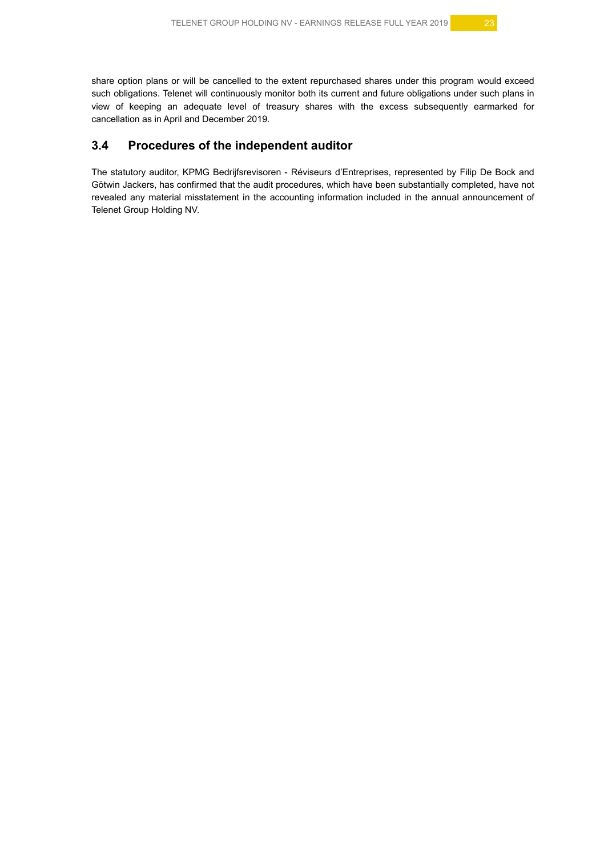share option plans or will be cancelled to the extent repurchased shares under this program would exceed such obligations. Telenet will continuously monitor both its current and future obligations under such plans in view of keeping an adequate level of treasury shares with the excess subsequently earmarked for cancellation as in April and December 2019.

# **3.4 Procedures of the independent auditor**

The statutory auditor, KPMG Bedrijfsrevisoren - Réviseurs d'Entreprises, represented by Filip De Bock and Götwin Jackers, has confirmed that the audit procedures, which have been substantially completed, have not revealed any material misstatement in the accounting information included in the annual announcement of Telenet Group Holding NV.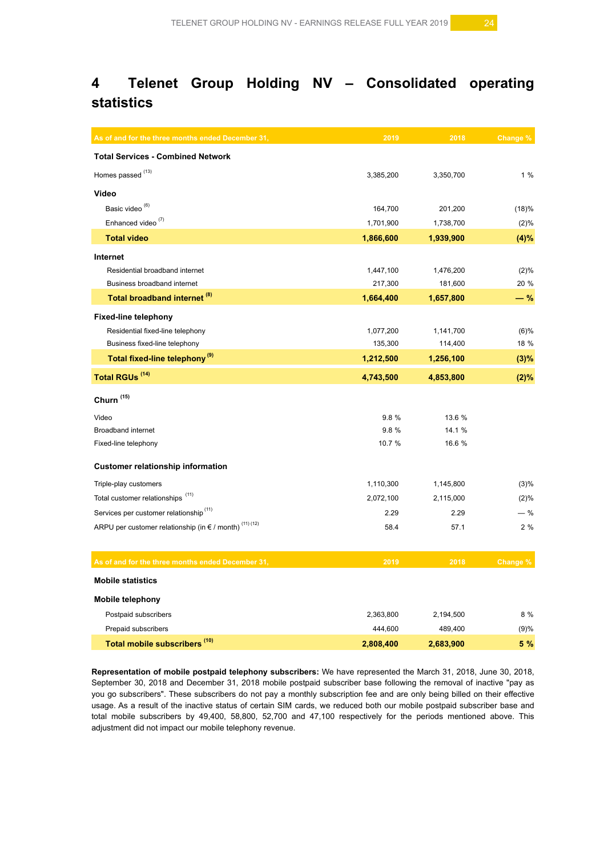# **4 Telenet Group Holding NV – Consolidated operating statistics**

| As of and for the three months ended December 31,                          | 2019      | 2018      | Change % |
|----------------------------------------------------------------------------|-----------|-----------|----------|
| <b>Total Services - Combined Network</b>                                   |           |           |          |
| Homes passed <sup>(13)</sup>                                               | 3,385,200 | 3,350,700 | 1%       |
| Video                                                                      |           |           |          |
| Basic video <sup>(6)</sup>                                                 | 164,700   | 201,200   | (18)%    |
| Enhanced video <sup>(7)</sup>                                              | 1,701,900 | 1,738,700 | (2)%     |
| <b>Total video</b>                                                         | 1,866,600 | 1,939,900 | (4)%     |
| Internet                                                                   |           |           |          |
| Residential broadband internet                                             | 1,447,100 | 1,476,200 | (2)%     |
| Business broadband internet                                                | 217,300   | 181,600   | 20 %     |
| Total broadband internet <sup>(8)</sup>                                    | 1,664,400 | 1,657,800 | $-$ %    |
| <b>Fixed-line telephony</b>                                                |           |           |          |
| Residential fixed-line telephony                                           | 1,077,200 | 1,141,700 | $(6)$ %  |
| Business fixed-line telephony                                              | 135,300   | 114,400   | 18 %     |
| Total fixed-line telephony <sup>(9)</sup>                                  | 1,212,500 | 1,256,100 | (3)%     |
| <b>Total RGUs (14)</b>                                                     | 4,743,500 | 4,853,800 | (2)%     |
| Churn <sup>(15)</sup>                                                      |           |           |          |
| Video                                                                      | 9.8%      | 13.6 %    |          |
| <b>Broadband internet</b>                                                  | 9.8%      | 14.1 %    |          |
| Fixed-line telephony                                                       | 10.7 %    | 16.6 %    |          |
| <b>Customer relationship information</b>                                   |           |           |          |
| Triple-play customers                                                      | 1,110,300 | 1,145,800 | (3)%     |
| Total customer relationships <sup>(11)</sup>                               | 2,072,100 | 2,115,000 | (2)%     |
| Services per customer relationship <sup>(11)</sup>                         | 2.29      | 2.29      | $-$ %    |
| ARPU per customer relationship (in $\epsilon$ / month) <sup>(11)(12)</sup> | 58.4      | 57.1      | 2%       |
| As of and for the three months ended December 31,                          | 2019      | 2018      | Change % |
| <b>Mobile statistics</b>                                                   |           |           |          |
| <b>Mobile telephony</b>                                                    |           |           |          |
| Postpaid subscribers                                                       | 2,363,800 | 2,194,500 | 8 %      |
| Prepaid subscribers                                                        | 444,600   | 489,400   | (9)%     |
| Total mobile subscribers <sup>(10)</sup>                                   | 2,808,400 | 2,683,900 | 5 %      |

**Representation of mobile postpaid telephony subscribers:** We have represented the March 31, 2018, June 30, 2018, September 30, 2018 and December 31, 2018 mobile postpaid subscriber base following the removal of inactive "pay as you go subscribers". These subscribers do not pay a monthly subscription fee and are only being billed on their effective usage. As a result of the inactive status of certain SIM cards, we reduced both our mobile postpaid subscriber base and total mobile subscribers by 49,400, 58,800, 52,700 and 47,100 respectively for the periods mentioned above. This adjustment did not impact our mobile telephony revenue.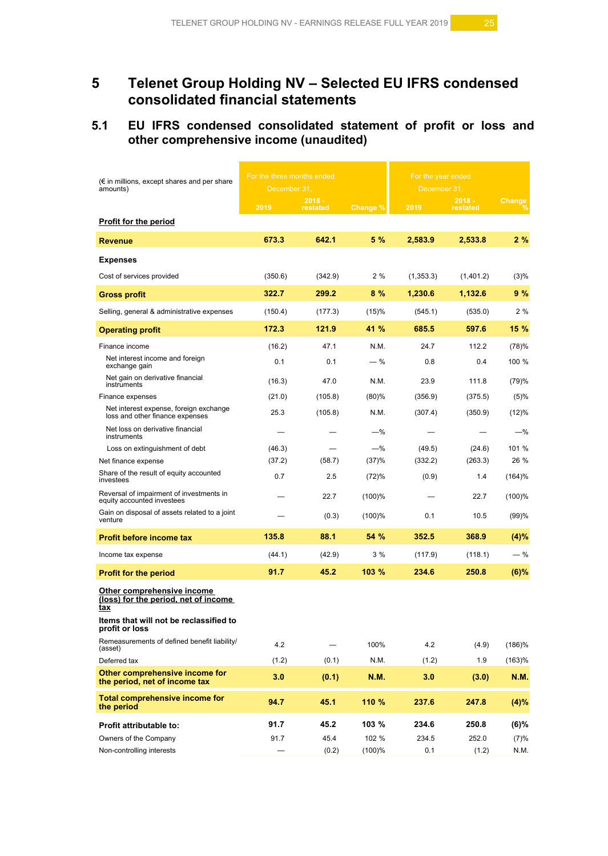# **5 Telenet Group Holding NV – Selected EU IFRS condensed consolidated financial statements**

# **5.1 EU IFRS condensed consolidated statement of profit or loss and other comprehensive income (unaudited)**

| $(\epsilon$ in millions, except shares and per share<br>amounts)          | For the three months ended<br>December 31, |                      |           | For the year ended<br>December 31, |                      |               |
|---------------------------------------------------------------------------|--------------------------------------------|----------------------|-----------|------------------------------------|----------------------|---------------|
|                                                                           | 2019                                       | $2018 -$<br>restated | Change %  | 2019                               | $2018 -$<br>restated | <b>Change</b> |
| <b>Profit for the period</b>                                              |                                            |                      |           |                                    |                      |               |
| <b>Revenue</b>                                                            | 673.3                                      | 642.1                | 5 %       | 2,583.9                            | 2.533.8              | 2%            |
| <b>Expenses</b>                                                           |                                            |                      |           |                                    |                      |               |
| Cost of services provided                                                 | (350.6)                                    | (342.9)              | 2%        | (1,353.3)                          | (1,401.2)            | (3)%          |
| <b>Gross profit</b>                                                       | 322.7                                      | 299.2                | 8%        | 1,230.6                            | 1.132.6              | 9 %           |
| Selling, general & administrative expenses                                | (150.4)                                    | (177.3)              | (15)%     | (545.1)                            | (535.0)              | 2 %           |
| <b>Operating profit</b>                                                   | 172.3                                      | 121.9                | 41 %      | 685.5                              | 597.6                | 15 %          |
| Finance income                                                            | (16.2)                                     | 47.1                 | N.M.      | 24.7                               | 112.2                | (78)%         |
| Net interest income and foreign<br>exchange gain                          | 0.1                                        | 0.1                  | $-$ %     | 0.8                                | 0.4                  | 100 %         |
| Net gain on derivative financial<br>instruments                           | (16.3)                                     | 47.0                 | N.M.      | 23.9                               | 111.8                | (79)%         |
| Finance expenses                                                          | (21.0)                                     | (105.8)              | (80)%     | (356.9)                            | (375.5)              | (5)%          |
| Net interest expense, foreign exchange<br>loss and other finance expenses | 25.3                                       | (105.8)              | N.M.      | (307.4)                            | (350.9)              | (12)%         |
| Net loss on derivative financial<br>instruments                           |                                            |                      | $-\%$     |                                    |                      | -%            |
| Loss on extinguishment of debt                                            | (46.3)                                     |                      | $-%$      | (49.5)                             | (24.6)               | 101 %         |
| Net finance expense                                                       | (37.2)                                     | (58.7)               | (37)%     | (332.2)                            | (263.3)              | 26 %          |
| Share of the result of equity accounted<br>investees                      | 0.7                                        | 2.5                  | (72)%     | (0.9)                              | 1.4                  | $(164)$ %     |
| Reversal of impairment of investments in<br>equity accounted investees    |                                            | 22.7                 | $(100)$ % |                                    | 22.7                 | (100)%        |
| Gain on disposal of assets related to a joint<br>venture                  |                                            | (0.3)                | $(100)$ % | 0.1                                | 10.5                 | (99)%         |
| <b>Profit before income tax</b>                                           | 135.8                                      | 88.1                 | 54 %      | 352.5                              | 368.9                | (4)%          |
| Income tax expense                                                        | (44.1)                                     | (42.9)               | 3%        | (117.9)                            | (118.1)              | — %           |
| <b>Profit for the period</b>                                              | 91.7                                       | 45.2                 | 103%      | 234.6                              | 250.8                | $(6)$ %       |
| Other comprehensive income<br>(loss) for the period, net of income<br>tax |                                            |                      |           |                                    |                      |               |
| Items that will not be reclassified to<br>profit or loss                  |                                            |                      |           |                                    |                      |               |
| Remeasurements of defined benefit liability/<br>(asset)                   | 4.2                                        |                      | 100%      | 4.2                                | (4.9)                | $(186)\%$     |
| Deferred tax                                                              | (1.2)                                      | (0.1)                | N.M.      | (1.2)                              | 1.9                  | (163)%        |
| Other comprehensive income for<br>the period, net of income tax           | 3.0                                        | (0.1)                | N.M.      | 3.0                                | (3.0)                | <b>N.M.</b>   |
| <b>Total comprehensive income for</b><br>the period                       | 94.7                                       | 45.1                 | 110 %     | 237.6                              | 247.8                | (4)%          |
| Profit attributable to:                                                   | 91.7                                       | 45.2                 | 103 %     | 234.6                              | 250.8                | $(6)\%$       |
| Owners of the Company                                                     | 91.7                                       | 45.4                 | 102 %     | 234.5                              | 252.0                | (7)%          |
| Non-controlling interests                                                 |                                            | (0.2)                | (100)%    | 0.1                                | (1.2)                | N.M.          |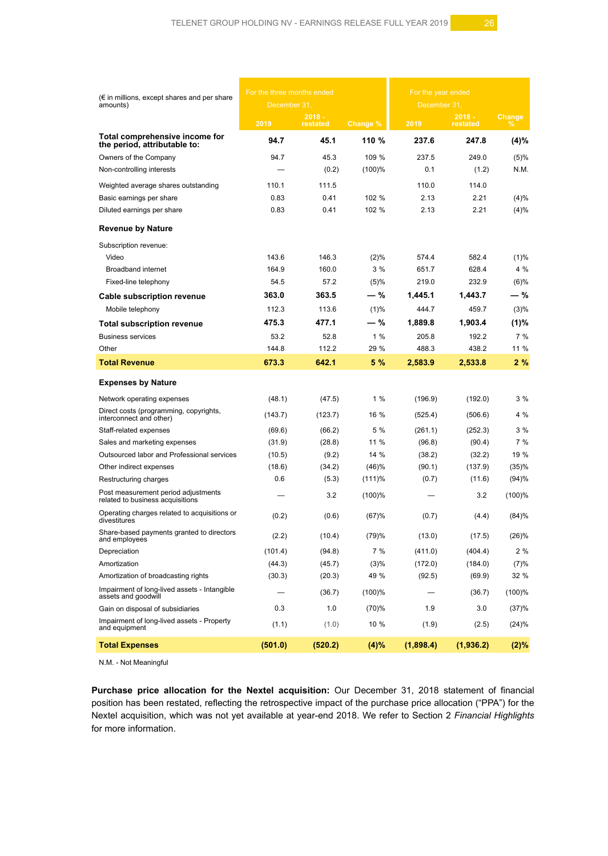| $(\epsilon$ in millions, except shares and per share<br>amounts)        | For the three months ended<br>December 31, |                      |           | For the year ended<br>December 31, |                      |                    |
|-------------------------------------------------------------------------|--------------------------------------------|----------------------|-----------|------------------------------------|----------------------|--------------------|
|                                                                         | 2019                                       | $2018 -$<br>restated | Change %  | 2019                               | $2018 -$<br>restated | <b>Change</b><br>℅ |
| Total comprehensive income for<br>the period, attributable to:          | 94.7                                       | 45.1                 | 110 %     | 237.6                              | 247.8                | (4)%               |
| Owners of the Company                                                   | 94.7                                       | 45.3                 | 109 %     | 237.5                              | 249.0                | (5)%               |
| Non-controlling interests                                               |                                            | (0.2)                | $(100)$ % | 0.1                                | (1.2)                | N.M.               |
| Weighted average shares outstanding                                     | 110.1                                      | 111.5                |           | 110.0                              | 114.0                |                    |
| Basic earnings per share                                                | 0.83                                       | 0.41                 | 102 %     | 2.13                               | 2.21                 | (4)%               |
| Diluted earnings per share                                              | 0.83                                       | 0.41                 | 102 %     | 2.13                               | 2.21                 | (4)%               |
| <b>Revenue by Nature</b>                                                |                                            |                      |           |                                    |                      |                    |
| Subscription revenue:                                                   |                                            |                      |           |                                    |                      |                    |
| Video                                                                   | 143.6                                      | 146.3                | (2)%      | 574.4                              | 582.4                | (1)%               |
| <b>Broadband internet</b>                                               | 164.9                                      | 160.0                | 3%        | 651.7                              | 628.4                | 4 %                |
| Fixed-line telephony                                                    | 54.5                                       | 57.2                 | (5)%      | 219.0                              | 232.9                | (6)%               |
| <b>Cable subscription revenue</b>                                       | 363.0                                      | 363.5                | — %       | 1.445.1                            | 1,443.7              | — %                |
| Mobile telephony                                                        | 112.3                                      | 113.6                | (1)%      | 444.7                              | 459.7                | (3)%               |
| <b>Total subscription revenue</b>                                       | 475.3                                      | 477.1                | — %       | 1,889.8                            | 1.903.4              | (1)%               |
| <b>Business services</b>                                                | 53.2                                       | 52.8                 | 1%        | 205.8                              | 192.2                | 7%                 |
| Other                                                                   | 144.8                                      | 112.2                | 29 %      | 488.3                              | 438.2                | 11 %               |
| <b>Total Revenue</b>                                                    | 673.3                                      | 642.1                | 5 %       | 2,583.9                            | 2,533.8              | 2 %                |
| <b>Expenses by Nature</b>                                               |                                            |                      |           |                                    |                      |                    |
| Network operating expenses                                              | (48.1)                                     | (47.5)               | 1%        | (196.9)                            | (192.0)              | 3%                 |
| Direct costs (programming, copyrights,<br>interconnect and other)       | (143.7)                                    | (123.7)              | 16 %      | (525.4)                            | (506.6)              | 4 %                |
| Staff-related expenses                                                  | (69.6)                                     | (66.2)               | 5 %       | (261.1)                            | (252.3)              | 3%                 |
| Sales and marketing expenses                                            | (31.9)                                     | (28.8)               | 11 %      | (96.8)                             | (90.4)               | 7%                 |
| Outsourced labor and Professional services                              | (10.5)                                     | (9.2)                | 14 %      | (38.2)                             | (32.2)               | 19 %               |
| Other indirect expenses                                                 | (18.6)                                     | (34.2)               | (46)%     | (90.1)                             | (137.9)              | (35)%              |
| Restructuring charges                                                   | 0.6                                        | (5.3)                | $(111)\%$ | (0.7)                              | (11.6)               | (94)%              |
| Post measurement period adjustments<br>related to business acquisitions |                                            | 3.2                  | $(100)$ % |                                    | 3.2                  | (100)%             |
| Operating charges related to acquisitions or<br>divestitures            | (0.2)                                      | (0.6)                | (67)%     | (0.7)                              | (4.4)                | (84)%              |
| Share-based payments granted to directors<br>and employees              | (2.2)                                      | (10.4)               | (79)%     | (13.0)                             | (17.5)               | (26)%              |
| Depreciation                                                            | (101.4)                                    | (94.8)               | 7%        | (411.0)                            | (404.4)              | 2 %                |
| Amortization                                                            | (44.3)                                     | (45.7)               | (3)%      | (172.0)                            | (184.0)              | (7)%               |
| Amortization of broadcasting rights                                     | (30.3)                                     | (20.3)               | 49 %      | (92.5)                             | (69.9)               | 32 %               |
| Impairment of long-lived assets - Intangible<br>assets and goodwill     |                                            | (36.7)               | (100)%    |                                    | (36.7)               | (100)%             |
| Gain on disposal of subsidiaries                                        | 0.3                                        | 1.0                  | (70)%     | 1.9                                | 3.0                  | (37)%              |
| Impairment of long-lived assets - Property<br>and equipment             | (1.1)                                      | (1.0)                | 10 %      | (1.9)                              | (2.5)                | $(24)\%$           |
| <b>Total Expenses</b>                                                   | (501.0)                                    | (520.2)              | (4)%      | (1,898.4)                          | (1,936.2)            | (2)%               |

N.M. - Not Meaningful

**Purchase price allocation for the Nextel acquisition:** Our December 31, 2018 statement of financial position has been restated, reflecting the retrospective impact of the purchase price allocation ("PPA") for the Nextel acquisition, which was not yet available at year-end 2018. We refer to Section 2 *Financial Highlights* for more information.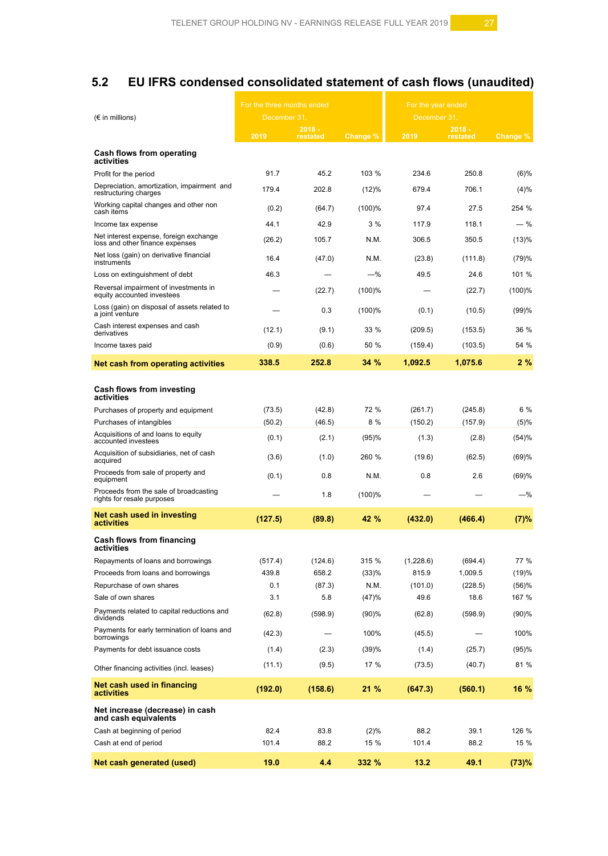# **5.2 EU IFRS condensed consolidated statement of cash flows (unaudited)**

|                                                                           | For the three months ended |                      |          | For the year ended |                      |          |
|---------------------------------------------------------------------------|----------------------------|----------------------|----------|--------------------|----------------------|----------|
| $(\epsilon$ in millions)                                                  | December 31,               |                      |          | December 31,       |                      |          |
|                                                                           | 2019                       | $2018 -$<br>restated | Change % | 2019               | $2018 -$<br>restated | Change % |
| Cash flows from operating<br>activities                                   |                            |                      |          |                    |                      |          |
| Profit for the period                                                     | 91.7                       | 45.2                 | 103 %    | 234.6              | 250.8                | $(6)\%$  |
| Depreciation, amortization, impairment and<br>restructuring charges       | 179.4                      | 202.8                | (12)%    | 679.4              | 706.1                | $(4)\%$  |
| Working capital changes and other non<br>cash items                       | (0.2)                      | (64.7)               | (100)%   | 97.4               | 27.5                 | 254 %    |
| Income tax expense                                                        | 44.1                       | 42.9                 | 3%       | 117.9              | 118.1                | - %      |
| Net interest expense, foreign exchange<br>loss and other finance expenses | (26.2)                     | 105.7                | N.M.     | 306.5              | 350.5                | (13)%    |
| Net loss (gain) on derivative financial<br>instruments                    | 16.4                       | (47.0)               | N.M.     | (23.8)             | (111.8)              | (79)%    |
| Loss on extinguishment of debt                                            | 46.3                       |                      | $-%$     | 49.5               | 24.6                 | 101 %    |
| Reversal impairment of investments in<br>equity accounted investees       |                            | (22.7)               | (100)%   |                    | (22.7)               | (100)%   |
| Loss (gain) on disposal of assets related to<br>a joint venture           |                            | 0.3                  | (100)%   | (0.1)              | (10.5)               | (99)%    |
| Cash interest expenses and cash<br>derivatives                            | (12.1)                     | (9.1)                | 33 %     | (209.5)            | (153.5)              | 36 %     |
| Income taxes paid                                                         | (0.9)                      | (0.6)                | 50 %     | (159.4)            | (103.5)              | 54 %     |
| Net cash from operating activities                                        | 338.5                      | 252.8                | 34 %     | 1,092.5            | 1,075.6              | 2%       |
| Cash flows from investing<br>activities                                   |                            |                      |          |                    |                      |          |
| Purchases of property and equipment                                       | (73.5)                     | (42.8)               | 72 %     | (261.7)            | (245.8)              | 6 %      |
| Purchases of intangibles                                                  | (50.2)                     | (46.5)               | 8%       | (150.2)            | (157.9)              | $(5)\%$  |
| Acquisitions of and loans to equity<br>accounted investees                | (0.1)                      | (2.1)                | (95)%    | (1.3)              | (2.8)                | (54)%    |
| Acquisition of subsidiaries, net of cash<br>acquired                      | (3.6)                      | (1.0)                | 260 %    | (19.6)             | (62.5)               | (69)%    |
| Proceeds from sale of property and<br>equipment                           | (0.1)                      | 0.8                  | N.M.     | 0.8                | 2.6                  | (69)%    |
| Proceeds from the sale of broadcasting<br>rights for resale purposes      |                            | 1.8                  | (100)%   |                    |                      | -%       |
| Net cash used in investing<br>activities                                  | (127.5)                    | (89.8)               | 42 %     | (432.0)            | (466.4)              | (7)%     |
| Cash flows from financing<br>activities                                   |                            |                      |          |                    |                      |          |
| Repayments of loans and borrowings                                        | (517.4)                    | (124.6)              | 315 %    | (1,228.6)          | (694.4)              | 77 %     |
| Proceeds from loans and borrowings                                        | 439.8                      | 658.2                | (33)%    | 815.9              | 1,009.5              | (19)%    |
| Repurchase of own shares                                                  | 0.1                        | (87.3)               | N.M.     | (101.0)            | (228.5)              | (56)%    |
| Sale of own shares                                                        | 3.1                        | 5.8                  | (47)%    | 49.6               | 18.6                 | 167 %    |
| Payments related to capital reductions and<br>dividends                   | (62.8)                     | (598.9)              | (90)%    | (62.8)             | (598.9)              | (90)%    |
| Payments for early termination of loans and<br>borrowings                 | (42.3)                     |                      | 100%     | (45.5)             |                      | 100%     |
| Payments for debt issuance costs                                          | (1.4)                      | (2.3)                | (39)%    | (1.4)              | (25.7)               | (95)%    |
| Other financing activities (incl. leases)                                 | (11.1)                     | (9.5)                | 17 %     | (73.5)             | (40.7)               | 81 %     |
| Net cash used in financing<br>activities                                  | (192.0)                    | (158.6)              | 21 %     | (647.3)            | (560.1)              | 16 %     |
| Net increase (decrease) in cash<br>and cash equivalents                   |                            |                      |          |                    |                      |          |
| Cash at beginning of period                                               | 82.4                       | 83.8                 | (2)%     | 88.2               | 39.1                 | 126 %    |
| Cash at end of period                                                     | 101.4                      | 88.2                 | 15 %     | 101.4              | 88.2                 | 15 %     |
| Net cash generated (used)                                                 | 19.0                       | 4.4                  | 332 %    | 13.2               | 49.1                 | (73)%    |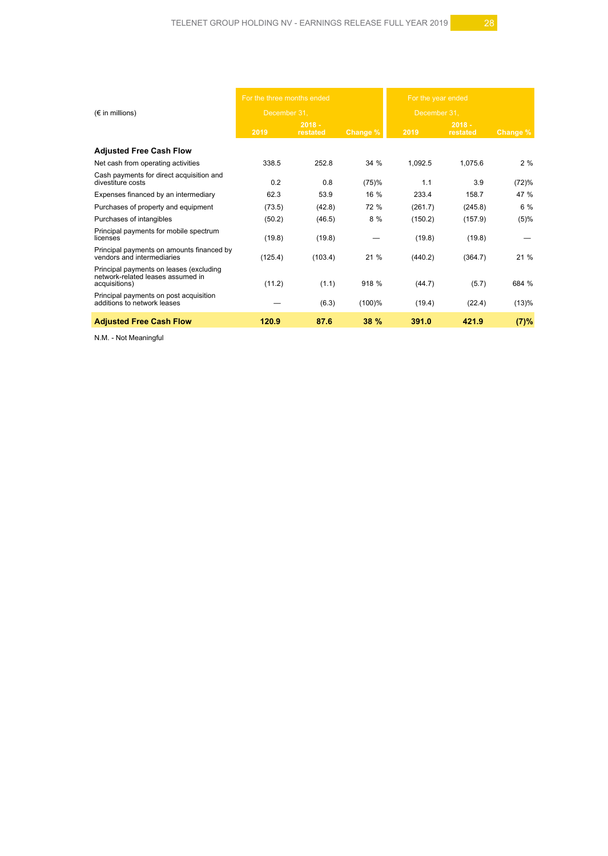|                                                                                               | For the three months ended |                      |             | For the year ended |                      |                     |
|-----------------------------------------------------------------------------------------------|----------------------------|----------------------|-------------|--------------------|----------------------|---------------------|
| $(\epsilon$ in millions)                                                                      | December 31.               |                      |             | December 31.       |                      |                     |
|                                                                                               | 2019                       | $2018 -$<br>restated | Change %    | 2019               | $2018 -$<br>restated | Change <sup>y</sup> |
| <b>Adjusted Free Cash Flow</b>                                                                |                            |                      |             |                    |                      |                     |
| Net cash from operating activities                                                            | 338.5                      | 252.8                | 34 %        | 1,092.5            | 1,075.6              | 2%                  |
| Cash payments for direct acquisition and<br>divestiture costs                                 | 0.2                        | 0.8                  | (75)%       | 1.1                | 3.9                  | (72)%               |
| Expenses financed by an intermediary                                                          | 62.3                       | 53.9                 | 16 %        | 233.4              | 158.7                | 47 %                |
| Purchases of property and equipment                                                           | (73.5)                     | (42.8)               | 72 %        | (261.7)            | (245.8)              | 6 %                 |
| Purchases of intangibles                                                                      | (50.2)                     | (46.5)               | 8 %         | (150.2)            | (157.9)              | (5)%                |
| Principal payments for mobile spectrum<br>licenses                                            | (19.8)                     | (19.8)               |             | (19.8)             | (19.8)               |                     |
| Principal payments on amounts financed by<br>vendors and intermediaries                       | (125.4)                    | (103.4)              | 21 %        | (440.2)            | (364.7)              | 21%                 |
| Principal payments on leases (excluding<br>network-related leases assumed in<br>acquisitions) | (11.2)                     | (1.1)                | 918 %       | (44.7)             | (5.7)                | 684 %               |
| Principal payments on post acquisition<br>additions to network leases                         |                            | (6.3)                | (100)%      | (19.4)             | (22.4)               | (13)%               |
| <b>Adjusted Free Cash Flow</b>                                                                | 120.9                      | 87.6                 | <b>38 %</b> | 391.0              | 421.9                | (7)%                |

N.M. - Not Meaningful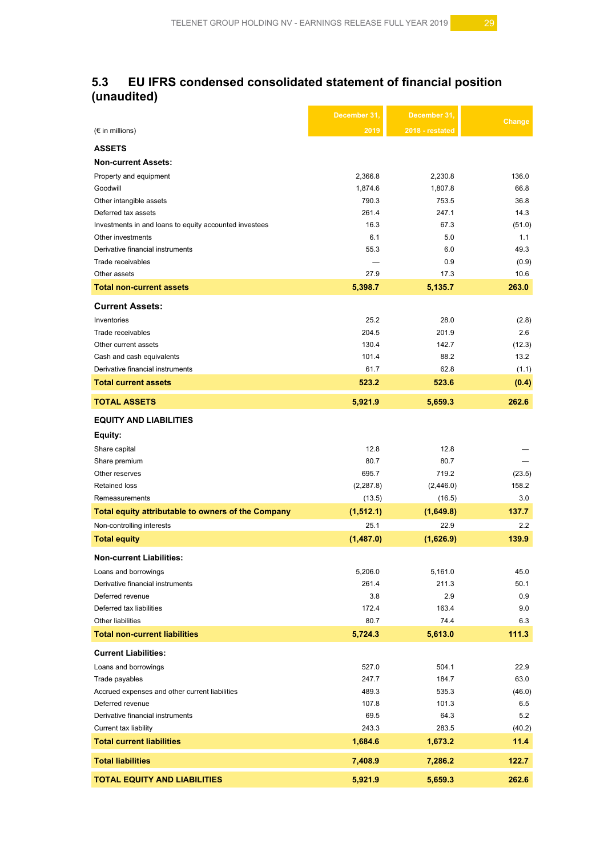# **5.3 EU IFRS condensed consolidated statement of financial position (unaudited)**

|                                                        | December 31, | December 31,    | Change |
|--------------------------------------------------------|--------------|-----------------|--------|
| $(\epsilon$ in millions)                               | 2019         | 2018 - restated |        |
| <b>ASSETS</b>                                          |              |                 |        |
| <b>Non-current Assets:</b>                             |              |                 |        |
| Property and equipment                                 | 2,366.8      | 2,230.8         | 136.0  |
| Goodwill                                               | 1,874.6      | 1,807.8         | 66.8   |
| Other intangible assets                                | 790.3        | 753.5           | 36.8   |
| Deferred tax assets                                    | 261.4        | 247.1           | 14.3   |
| Investments in and loans to equity accounted investees | 16.3         | 67.3            | (51.0) |
| Other investments                                      | 6.1          | 5.0             | 1.1    |
| Derivative financial instruments                       | 55.3         | 6.0             | 49.3   |
| Trade receivables                                      |              | 0.9             | (0.9)  |
| Other assets                                           | 27.9         | 17.3            | 10.6   |
| <b>Total non-current assets</b>                        | 5,398.7      | 5,135.7         | 263.0  |
| <b>Current Assets:</b>                                 |              |                 |        |
| Inventories                                            | 25.2         | 28.0            | (2.8)  |
| Trade receivables                                      | 204.5        | 201.9           | 2.6    |
| Other current assets                                   | 130.4        | 142.7           | (12.3) |
| Cash and cash equivalents                              | 101.4        | 88.2            | 13.2   |
| Derivative financial instruments                       | 61.7         | 62.8            | (1.1)  |
| <b>Total current assets</b>                            | 523.2        | 523.6           | (0.4)  |
| <b>TOTAL ASSETS</b>                                    | 5,921.9      | 5,659.3         | 262.6  |
| <b>EQUITY AND LIABILITIES</b>                          |              |                 |        |
| Equity:                                                |              |                 |        |
| Share capital                                          | 12.8         | 12.8            |        |
| Share premium                                          | 80.7         | 80.7            |        |
| Other reserves                                         | 695.7        | 719.2           | (23.5) |
| <b>Retained loss</b>                                   | (2, 287.8)   | (2,446.0)       | 158.2  |
| Remeasurements                                         | (13.5)       | (16.5)          | 3.0    |
| Total equity attributable to owners of the Company     | (1, 512.1)   | (1,649.8)       | 137.7  |
| Non-controlling interests                              | 25.1         | 22.9            | 2.2    |
| <b>Total equity</b>                                    | (1,487.0)    | (1,626.9)       | 139.9  |
| <b>Non-current Liabilities:</b>                        |              |                 |        |
| Loans and borrowings                                   | 5,206.0      | 5,161.0         | 45.0   |
| Derivative financial instruments                       | 261.4        | 211.3           | 50.1   |
| Deferred revenue                                       | 3.8          | 2.9             | 0.9    |
| Deferred tax liabilities                               | 172.4        | 163.4           | 9.0    |
| Other liabilities                                      | 80.7         | 74.4            | 6.3    |
| <b>Total non-current liabilities</b>                   | 5,724.3      | 5,613.0         | 111.3  |
| <b>Current Liabilities:</b>                            |              |                 |        |
| Loans and borrowings                                   | 527.0        | 504.1           | 22.9   |
| Trade payables                                         | 247.7        | 184.7           | 63.0   |
| Accrued expenses and other current liabilities         | 489.3        | 535.3           | (46.0) |
| Deferred revenue                                       | 107.8        | 101.3           | 6.5    |
| Derivative financial instruments                       | 69.5         | 64.3            | 5.2    |
| Current tax liability                                  | 243.3        | 283.5           | (40.2) |
| <b>Total current liabilities</b>                       | 1,684.6      | 1,673.2         | 11.4   |
| <b>Total liabilities</b>                               | 7,408.9      | 7,286.2         | 122.7  |
| <b>TOTAL EQUITY AND LIABILITIES</b>                    | 5,921.9      | 5,659.3         | 262.6  |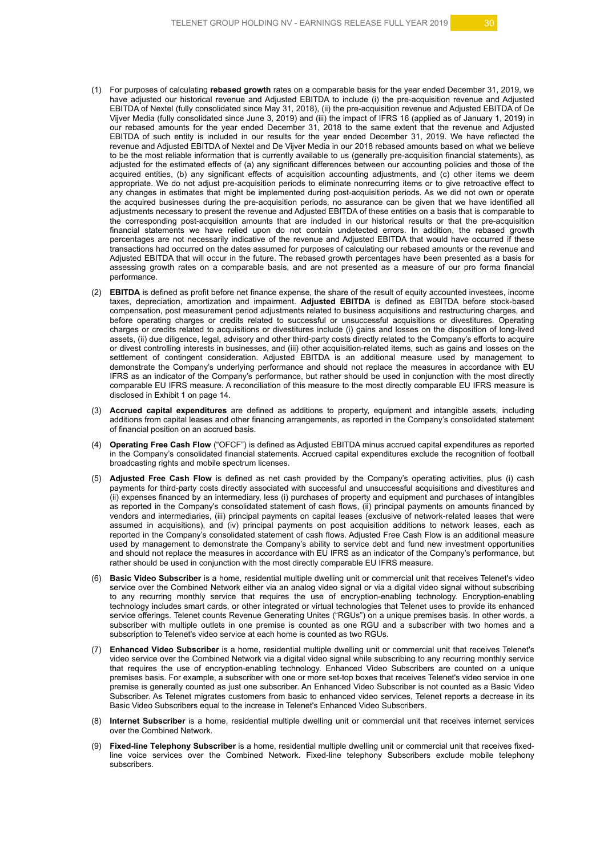- (1) For purposes of calculating **rebased growth** rates on a comparable basis for the year ended December 31, 2019, we have adjusted our historical revenue and Adjusted EBITDA to include (i) the pre-acquisition revenue and Adjusted EBITDA of Nextel (fully consolidated since May 31, 2018), (ii) the pre-acquisition revenue and Adjusted EBITDA of De Vijver Media (fully consolidated since June 3, 2019) and (iii) the impact of IFRS 16 (applied as of January 1, 2019) in our rebased amounts for the year ended December 31, 2018 to the same extent that the revenue and Adjusted EBITDA of such entity is included in our results for the year ended December 31, 2019. We have reflected the revenue and Adjusted EBITDA of Nextel and De Vijver Media in our 2018 rebased amounts based on what we believe to be the most reliable information that is currently available to us (generally pre-acquisition financial statements), as adjusted for the estimated effects of (a) any significant differences between our accounting policies and those of the acquired entities, (b) any significant effects of acquisition accounting adjustments, and (c) other items we deem appropriate. We do not adjust pre-acquisition periods to eliminate nonrecurring items or to give retroactive effect to any changes in estimates that might be implemented during post-acquisition periods. As we did not own or operate the acquired businesses during the pre-acquisition periods, no assurance can be given that we have identified all adjustments necessary to present the revenue and Adjusted EBITDA of these entities on a basis that is comparable to the corresponding post-acquisition amounts that are included in our historical results or that the pre-acquisition financial statements we have relied upon do not contain undetected errors. In addition, the rebased growth percentages are not necessarily indicative of the revenue and Adjusted EBITDA that would have occurred if these transactions had occurred on the dates assumed for purposes of calculating our rebased amounts or the revenue and Adjusted EBITDA that will occur in the future. The rebased growth percentages have been presented as a basis for assessing growth rates on a comparable basis, and are not presented as a measure of our pro forma financial performance.
- (2) **EBITDA** is defined as profit before net finance expense, the share of the result of equity accounted investees, income taxes, depreciation, amortization and impairment. **Adjusted EBITDA** is defined as EBITDA before stock-based compensation, post measurement period adjustments related to business acquisitions and restructuring charges, and before operating charges or credits related to successful or unsuccessful acquisitions or divestitures. Operating charges or credits related to acquisitions or divestitures include (i) gains and losses on the disposition of long-lived assets, (ii) due diligence, legal, advisory and other third-party costs directly related to the Company's efforts to acquire or divest controlling interests in businesses, and (iii) other acquisition-related items, such as gains and losses on the settlement of contingent consideration. Adjusted EBITDA is an additional measure used by management to demonstrate the Company's underlying performance and should not replace the measures in accordance with EU IFRS as an indicator of the Company's performance, but rather should be used in conjunction with the most directly comparable EU IFRS measure. A reconciliation of this measure to the most directly comparable EU IFRS measure is disclosed in Exhibit 1 on page 14.
- (3) **Accrued capital expenditures** are defined as additions to property, equipment and intangible assets, including additions from capital leases and other financing arrangements, as reported in the Company's consolidated statement of financial position on an accrued basis.
- (4) **Operating Free Cash Flow** ("OFCF") is defined as Adjusted EBITDA minus accrued capital expenditures as reported in the Company's consolidated financial statements. Accrued capital expenditures exclude the recognition of football broadcasting rights and mobile spectrum licenses.
- (5) **Adjusted Free Cash Flow** is defined as net cash provided by the Company's operating activities, plus (i) cash payments for third-party costs directly associated with successful and unsuccessful acquisitions and divestitures and (ii) expenses financed by an intermediary, less (i) purchases of property and equipment and purchases of intangibles as reported in the Company's consolidated statement of cash flows, (ii) principal payments on amounts financed by vendors and intermediaries, (iii) principal payments on capital leases (exclusive of network-related leases that were assumed in acquisitions), and (iv) principal payments on post acquisition additions to network leases, each as reported in the Company's consolidated statement of cash flows. Adjusted Free Cash Flow is an additional measure used by management to demonstrate the Company's ability to service debt and fund new investment opportunities and should not replace the measures in accordance with EU IFRS as an indicator of the Company's performance, but rather should be used in conjunction with the most directly comparable EU IFRS measure.
- (6) **Basic Video Subscriber** is a home, residential multiple dwelling unit or commercial unit that receives Telenet's video service over the Combined Network either via an analog video signal or via a digital video signal without subscribing to any recurring monthly service that requires the use of encryption-enabling technology. Encryption-enabling technology includes smart cards, or other integrated or virtual technologies that Telenet uses to provide its enhanced service offerings. Telenet counts Revenue Generating Unites ("RGUs") on a unique premises basis. In other words, a subscriber with multiple outlets in one premise is counted as one RGU and a subscriber with two homes and a subscription to Telenet's video service at each home is counted as two RGUs.
- (7) **Enhanced Video Subscriber** is a home, residential multiple dwelling unit or commercial unit that receives Telenet's video service over the Combined Network via a digital video signal while subscribing to any recurring monthly service that requires the use of encryption-enabling technology. Enhanced Video Subscribers are counted on a unique premises basis. For example, a subscriber with one or more set-top boxes that receives Telenet's video service in one premise is generally counted as just one subscriber. An Enhanced Video Subscriber is not counted as a Basic Video Subscriber. As Telenet migrates customers from basic to enhanced video services, Telenet reports a decrease in its Basic Video Subscribers equal to the increase in Telenet's Enhanced Video Subscribers.
- (8) **Internet Subscriber** is a home, residential multiple dwelling unit or commercial unit that receives internet services over the Combined Network.
- (9) **Fixed-line Telephony Subscriber** is a home, residential multiple dwelling unit or commercial unit that receives fixedline voice services over the Combined Network. Fixed-line telephony Subscribers exclude mobile telephony subscribers.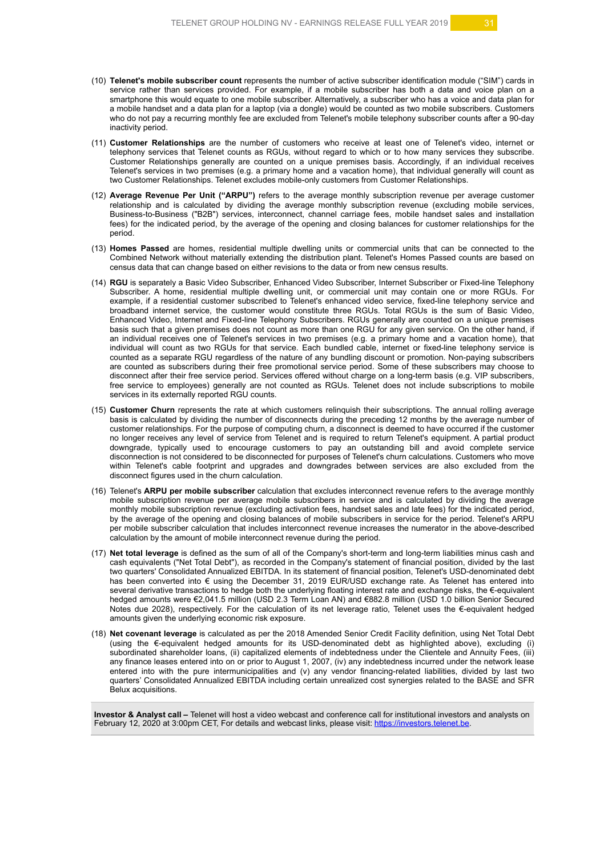- (10) **Telenet's mobile subscriber count** represents the number of active subscriber identification module ("SIM") cards in service rather than services provided. For example, if a mobile subscriber has both a data and voice plan on a smartphone this would equate to one mobile subscriber. Alternatively, a subscriber who has a voice and data plan for a mobile handset and a data plan for a laptop (via a dongle) would be counted as two mobile subscribers. Customers who do not pay a recurring monthly fee are excluded from Telenet's mobile telephony subscriber counts after a 90-day inactivity period.
- (11) **Customer Relationships** are the number of customers who receive at least one of Telenet's video, internet or telephony services that Telenet counts as RGUs, without regard to which or to how many services they subscribe. Customer Relationships generally are counted on a unique premises basis. Accordingly, if an individual receives Telenet's services in two premises (e.g. a primary home and a vacation home), that individual generally will count as two Customer Relationships. Telenet excludes mobile-only customers from Customer Relationships.
- (12) **Average Revenue Per Unit ("ARPU")** refers to the average monthly subscription revenue per average customer relationship and is calculated by dividing the average monthly subscription revenue (excluding mobile services, Business-to-Business ("B2B") services, interconnect, channel carriage fees, mobile handset sales and installation fees) for the indicated period, by the average of the opening and closing balances for customer relationships for the period.
- (13) **Homes Passed** are homes, residential multiple dwelling units or commercial units that can be connected to the Combined Network without materially extending the distribution plant. Telenet's Homes Passed counts are based on census data that can change based on either revisions to the data or from new census results.
- (14) **RGU** is separately a Basic Video Subscriber, Enhanced Video Subscriber, Internet Subscriber or Fixed-line Telephony Subscriber. A home, residential multiple dwelling unit, or commercial unit may contain one or more RGUs. For example, if a residential customer subscribed to Telenet's enhanced video service, fixed-line telephony service and broadband internet service, the customer would constitute three RGUs. Total RGUs is the sum of Basic Video, Enhanced Video, Internet and Fixed-line Telephony Subscribers. RGUs generally are counted on a unique premises basis such that a given premises does not count as more than one RGU for any given service. On the other hand, if an individual receives one of Telenet's services in two premises (e.g. a primary home and a vacation home), that individual will count as two RGUs for that service. Each bundled cable, internet or fixed-line telephony service is counted as a separate RGU regardless of the nature of any bundling discount or promotion. Non-paying subscribers are counted as subscribers during their free promotional service period. Some of these subscribers may choose to disconnect after their free service period. Services offered without charge on a long-term basis (e.g. VIP subscribers, free service to employees) generally are not counted as RGUs. Telenet does not include subscriptions to mobile services in its externally reported RGU counts.
- (15) **Customer Churn** represents the rate at which customers relinquish their subscriptions. The annual rolling average basis is calculated by dividing the number of disconnects during the preceding 12 months by the average number of customer relationships. For the purpose of computing churn, a disconnect is deemed to have occurred if the customer no longer receives any level of service from Telenet and is required to return Telenet's equipment. A partial product downgrade, typically used to encourage customers to pay an outstanding bill and avoid complete service disconnection is not considered to be disconnected for purposes of Telenet's churn calculations. Customers who move within Telenet's cable footprint and upgrades and downgrades between services are also excluded from the disconnect figures used in the churn calculation.
- (16) Telenet's **ARPU per mobile subscriber** calculation that excludes interconnect revenue refers to the average monthly mobile subscription revenue per average mobile subscribers in service and is calculated by dividing the average monthly mobile subscription revenue (excluding activation fees, handset sales and late fees) for the indicated period, by the average of the opening and closing balances of mobile subscribers in service for the period. Telenet's ARPU per mobile subscriber calculation that includes interconnect revenue increases the numerator in the above-described calculation by the amount of mobile interconnect revenue during the period.
- (17) **Net total leverage** is defined as the sum of all of the Company's short-term and long-term liabilities minus cash and cash equivalents ("Net Total Debt"), as recorded in the Company's statement of financial position, divided by the last two quarters' Consolidated Annualized EBITDA. In its statement of financial position, Telenet's USD-denominated debt has been converted into € using the December 31, 2019 EUR/USD exchange rate. As Telenet has entered into several derivative transactions to hedge both the underlying floating interest rate and exchange risks, the €-equivalent hedged amounts were €2,041.5 million (USD 2.3 Term Loan AN) and €882.8 million (USD 1.0 billion Senior Secured Notes due 2028), respectively. For the calculation of its net leverage ratio, Telenet uses the €-equivalent hedged amounts given the underlying economic risk exposure.
- (18) **Net covenant leverage** is calculated as per the 2018 Amended Senior Credit Facility definition, using Net Total Debt (using the €-equivalent hedged amounts for its USD-denominated debt as highlighted above), excluding (i) subordinated shareholder loans, (ii) capitalized elements of indebtedness under the Clientele and Annuity Fees, (iii) any finance leases entered into on or prior to August 1, 2007, (iv) any indebtedness incurred under the network lease entered into with the pure intermunicipalities and (v) any vendor financing-related liabilities, divided by last two quarters' Consolidated Annualized EBITDA including certain unrealized cost synergies related to the BASE and SFR Belux acquisitions.

**Investor & Analyst call** – Telenet will host a video webcast and conference call for institutional investors and analysts on<br>February 12, 2020 at 3:00pm CET, For details and webcast links, please visit: <u>https://investors</u>